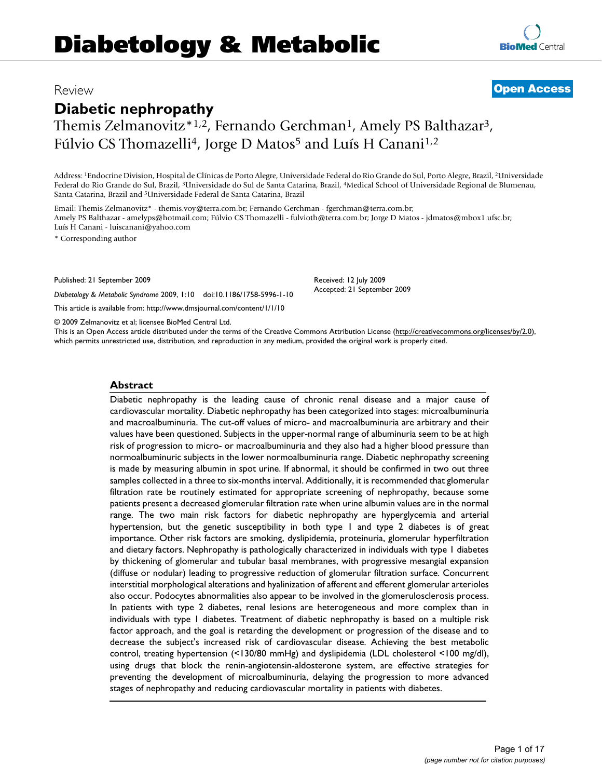# **Diabetology & Metabolic**

## **Diabetic nephropathy**

Themis Zelmanovitz<sup>\*1,2</sup>, Fernando Gerchman<sup>1</sup>, Amely PS Balthazar<sup>3</sup>, Fúlvio CS Thomazelli<sup>4</sup>, Jorge D Matos<sup>5</sup> and Luís H Canani<sup>1,2</sup>

# Review **[Open Access](http://www.biomedcentral.com/info/about/charter/)**

Address: 1Endocrine Division, Hospital de Clínicas de Porto Alegre, Universidade Federal do Rio Grande do Sul, Porto Alegre, Brazil, 2Universidade Federal do Rio Grande do Sul, Brazil, 3Universidade do Sul de Santa Catarina, Brazil, 4Medical School of Universidade Regional de Blumenau, Santa Catarina, Brazil and 5Universidade Federal de Santa Catarina, Brazil

Email: Themis Zelmanovitz\* - themis.voy@terra.com.br; Fernando Gerchman - fgerchman@terra.com.br; Amely PS Balthazar - amelyps@hotmail.com; Fúlvio CS Thomazelli - fulvioth@terra.com.br; Jorge D Matos - jdmatos@mbox1.ufsc.br; Luís H Canani - luiscanani@yahoo.com

\* Corresponding author

Published: 21 September 2009

*Diabetology & Metabolic Syndrome* 2009, **1**:10 doi:10.1186/1758-5996-1-10

[This article is available from: http://www.dmsjournal.com/content/1/1/10](http://www.dmsjournal.com/content/1/1/10)

© 2009 Zelmanovitz et al; licensee BioMed Central Ltd.

This is an Open Access article distributed under the terms of the Creative Commons Attribution License [\(http://creativecommons.org/licenses/by/2.0\)](http://creativecommons.org/licenses/by/2.0), which permits unrestricted use, distribution, and reproduction in any medium, provided the original work is properly cited.

Received: 12 July 2009 Accepted: 21 September 2009

#### **Abstract**

Diabetic nephropathy is the leading cause of chronic renal disease and a major cause of cardiovascular mortality. Diabetic nephropathy has been categorized into stages: microalbuminuria and macroalbuminuria. The cut-off values of micro- and macroalbuminuria are arbitrary and their values have been questioned. Subjects in the upper-normal range of albuminuria seem to be at high risk of progression to micro- or macroalbuminuria and they also had a higher blood pressure than normoalbuminuric subjects in the lower normoalbuminuria range. Diabetic nephropathy screening is made by measuring albumin in spot urine. If abnormal, it should be confirmed in two out three samples collected in a three to six-months interval. Additionally, it is recommended that glomerular filtration rate be routinely estimated for appropriate screening of nephropathy, because some patients present a decreased glomerular filtration rate when urine albumin values are in the normal range. The two main risk factors for diabetic nephropathy are hyperglycemia and arterial hypertension, but the genetic susceptibility in both type 1 and type 2 diabetes is of great importance. Other risk factors are smoking, dyslipidemia, proteinuria, glomerular hyperfiltration and dietary factors. Nephropathy is pathologically characterized in individuals with type 1 diabetes by thickening of glomerular and tubular basal membranes, with progressive mesangial expansion (diffuse or nodular) leading to progressive reduction of glomerular filtration surface. Concurrent interstitial morphological alterations and hyalinization of afferent and efferent glomerular arterioles also occur. Podocytes abnormalities also appear to be involved in the glomerulosclerosis process. In patients with type 2 diabetes, renal lesions are heterogeneous and more complex than in individuals with type 1 diabetes. Treatment of diabetic nephropathy is based on a multiple risk factor approach, and the goal is retarding the development or progression of the disease and to decrease the subject's increased risk of cardiovascular disease. Achieving the best metabolic control, treating hypertension (<130/80 mmHg) and dyslipidemia (LDL cholesterol <100 mg/dl), using drugs that block the renin-angiotensin-aldosterone system, are effective strategies for preventing the development of microalbuminuria, delaying the progression to more advanced stages of nephropathy and reducing cardiovascular mortality in patients with diabetes.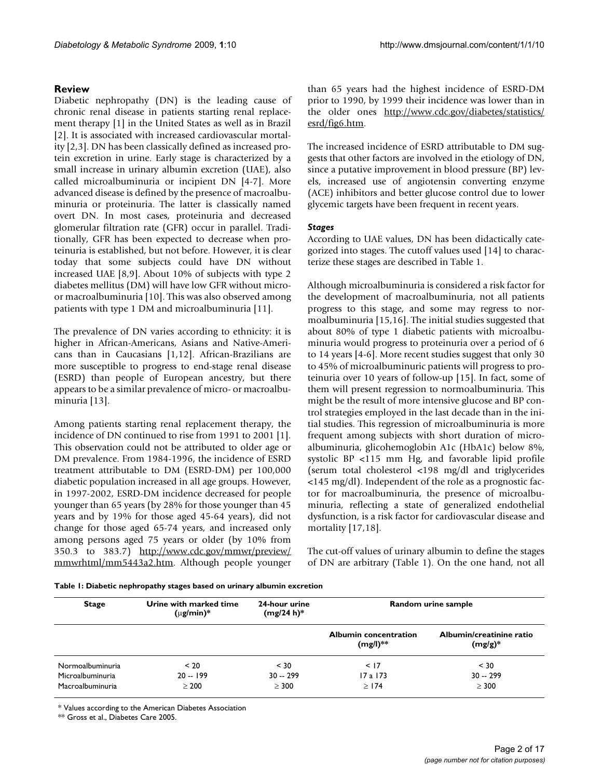#### **Review**

Diabetic nephropathy (DN) is the leading cause of chronic renal disease in patients starting renal replacement therapy [1] in the United States as well as in Brazil [2]. It is associated with increased cardiovascular mortality [2,3]. DN has been classically defined as increased protein excretion in urine. Early stage is characterized by a small increase in urinary albumin excretion (UAE), also called microalbuminuria or incipient DN [4-7]. More advanced disease is defined by the presence of macroalbuminuria or proteinuria. The latter is classically named overt DN. In most cases, proteinuria and decreased glomerular filtration rate (GFR) occur in parallel. Traditionally, GFR has been expected to decrease when proteinuria is established, but not before. However, it is clear today that some subjects could have DN without increased UAE [8,9]. About 10% of subjects with type 2 diabetes mellitus (DM) will have low GFR without microor macroalbuminuria [10]. This was also observed among patients with type 1 DM and microalbuminuria [11].

The prevalence of DN varies according to ethnicity: it is higher in African-Americans, Asians and Native-Americans than in Caucasians [1,12]. African-Brazilians are more susceptible to progress to end-stage renal disease (ESRD) than people of European ancestry, but there appears to be a similar prevalence of micro- or macroalbuminuria [13].

Among patients starting renal replacement therapy, the incidence of DN continued to rise from 1991 to 2001 [1]. This observation could not be attributed to older age or DM prevalence. From 1984-1996, the incidence of ESRD treatment attributable to DM (ESRD-DM) per 100,000 diabetic population increased in all age groups. However, in 1997-2002, ESRD-DM incidence decreased for people younger than 65 years (by 28% for those younger than 45 years and by 19% for those aged 45-64 years), did not change for those aged 65-74 years, and increased only among persons aged 75 years or older (by 10% from 350.3 to 383.7) [http://www.cdc.gov/mmwr/preview/](http://www.cdc.gov/mmwr/preview/mmwrhtml/mm5443a2.htm) [mmwrhtml/mm5443a2.htm](http://www.cdc.gov/mmwr/preview/mmwrhtml/mm5443a2.htm). Although people younger than 65 years had the highest incidence of ESRD-DM prior to 1990, by 1999 their incidence was lower than in the older ones [http://www.cdc.gov/diabetes/statistics/](http://www.cdc.gov/diabetes/statistics/esrd/fig6.htm) [esrd/fig6.htm](http://www.cdc.gov/diabetes/statistics/esrd/fig6.htm).

The increased incidence of ESRD attributable to DM suggests that other factors are involved in the etiology of DN, since a putative improvement in blood pressure (BP) levels, increased use of angiotensin converting enzyme (ACE) inhibitors and better glucose control due to lower glycemic targets have been frequent in recent years.

#### *Stages*

According to UAE values, DN has been didactically categorized into stages. The cutoff values used [14] to characterize these stages are described in Table 1.

Although microalbuminuria is considered a risk factor for the development of macroalbuminuria, not all patients progress to this stage, and some may regress to normoalbuminuria [15,16]. The initial studies suggested that about 80% of type 1 diabetic patients with microalbuminuria would progress to proteinuria over a period of 6 to 14 years [4-6]. More recent studies suggest that only 30 to 45% of microalbuminuric patients will progress to proteinuria over 10 years of follow-up [15]. In fact, some of them will present regression to normoalbuminuria. This might be the result of more intensive glucose and BP control strategies employed in the last decade than in the initial studies. This regression of microalbuminuria is more frequent among subjects with short duration of microalbuminuria, glicohemoglobin A1c (HbA1c) below 8%, systolic BP <115 mm Hg, and favorable lipid profile (serum total cholesterol <198 mg/dl and triglycerides <145 mg/dl). Independent of the role as a prognostic factor for macroalbuminuria, the presence of microalbuminuria, reflecting a state of generalized endothelial dysfunction, is a risk factor for cardiovascular disease and mortality [17,18].

The cut-off values of urinary albumin to define the stages of DN are arbitrary (Table 1). On the one hand, not all

| <b>Stage</b>     | Urine with marked time<br>$(\mu$ g/min)* | 24-hour urine<br>$(mg/24 h)^*$ | Random urine sample                        |                                        |  |
|------------------|------------------------------------------|--------------------------------|--------------------------------------------|----------------------------------------|--|
|                  |                                          |                                | <b>Albumin concentration</b><br>$(mg/l)**$ | Albumin/creatinine ratio<br>$(mg/g)^*$ |  |
| Normoalbuminuria | < 20                                     | < 30                           | < 17                                       | < 30                                   |  |
| Microalbuminuria | $20 - 199$                               | $30 - 299$                     | $17a$ 173                                  | $30 - 299$                             |  |
| Macroalbuminuria | > 200                                    | $\geq$ 300                     | >174                                       | $\geq$ 300                             |  |

\* Values according to the American Diabetes Association

\*\* Gross et al., Diabetes Care 2005.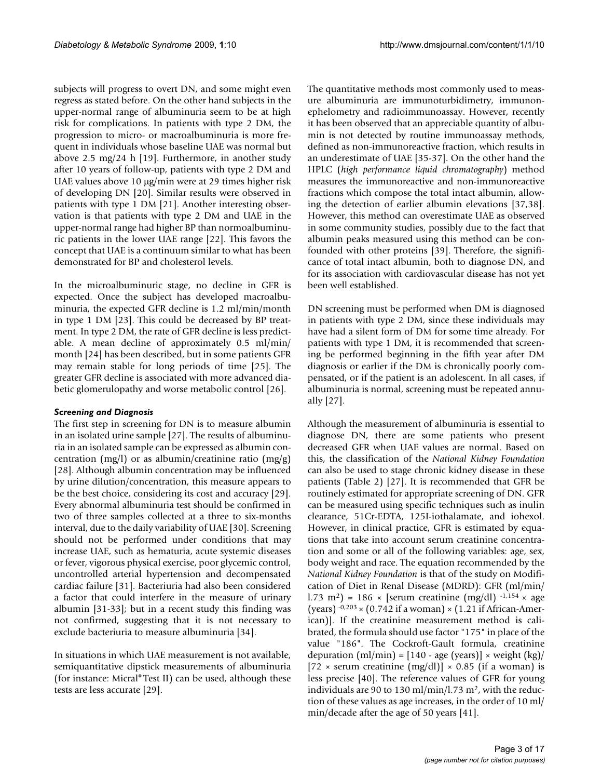subjects will progress to overt DN, and some might even regress as stated before. On the other hand subjects in the upper-normal range of albuminuria seem to be at high risk for complications. In patients with type 2 DM, the progression to micro- or macroalbuminuria is more frequent in individuals whose baseline UAE was normal but above 2.5 mg/24 h [19]. Furthermore, in another study after 10 years of follow-up, patients with type 2 DM and UAE values above 10 μg/min were at 29 times higher risk of developing DN [20]. Similar results were observed in patients with type 1 DM [21]. Another interesting observation is that patients with type 2 DM and UAE in the upper-normal range had higher BP than normoalbuminuric patients in the lower UAE range [22]. This favors the concept that UAE is a continuum similar to what has been demonstrated for BP and cholesterol levels.

In the microalbuminuric stage, no decline in GFR is expected. Once the subject has developed macroalbuminuria, the expected GFR decline is 1.2 ml/min/month in type 1 DM [23]. This could be decreased by BP treatment. In type 2 DM, the rate of GFR decline is less predictable. A mean decline of approximately 0.5 ml/min/ month [24] has been described, but in some patients GFR may remain stable for long periods of time [25]. The greater GFR decline is associated with more advanced diabetic glomerulopathy and worse metabolic control [26].

#### *Screening and Diagnosis*

The first step in screening for DN is to measure albumin in an isolated urine sample [\[27](#page-12-0)]. The results of albuminuria in an isolated sample can be expressed as albumin concentration (mg/l) or as albumin/creatinine ratio (mg/g) [28]. Although albumin concentration may be influenced by urine dilution/concentration, this measure appears to be the best choice, considering its cost and accuracy [29]. Every abnormal albuminuria test should be confirmed in two of three samples collected at a three to six-months interval, due to the daily variability of UAE [30]. Screening should not be performed under conditions that may increase UAE, such as hematuria, acute systemic diseases or fever, vigorous physical exercise, poor glycemic control, uncontrolled arterial hypertension and decompensated cardiac failure [31]. Bacteriuria had also been considered a factor that could interfere in the measure of urinary albumin [31-33]; but in a recent study this finding was not confirmed, suggesting that it is not necessary to exclude bacteriuria to measure albuminuria [34].

In situations in which UAE measurement is not available, semiquantitative dipstick measurements of albuminuria (for instance: Micral® Test II) can be used, although these tests are less accurate [29].

The quantitative methods most commonly used to measure albuminuria are immunoturbidimetry, immunonephelometry and radioimmunoassay. However, recently it has been observed that an appreciable quantity of albumin is not detected by routine immunoassay methods, defined as non-immunoreactive fraction, which results in an underestimate of UAE [35-37]. On the other hand the HPLC (*high performance liquid chromatography*) method measures the immunoreactive and non-immunoreactive fractions which compose the total intact albumin, allowing the detection of earlier albumin elevations [37,38]. However, this method can overestimate UAE as observed in some community studies, possibly due to the fact that albumin peaks measured using this method can be confounded with other proteins [39]. Therefore, the significance of total intact albumin, both to diagnose DN, and for its association with cardiovascular disease has not yet been well established.

DN screening must be performed when DM is diagnosed in patients with type 2 DM, since these individuals may have had a silent form of DM for some time already. For patients with type 1 DM, it is recommended that screening be performed beginning in the fifth year after DM diagnosis or earlier if the DM is chronically poorly compensated, or if the patient is an adolescent. In all cases, if albuminuria is normal, screening must be repeated annually [\[27](#page-12-0)].

Although the measurement of albuminuria is essential to diagnose DN, there are some patients who present decreased GFR when UAE values are normal. Based on this, the classification of the *National Kidney Foundation* can also be used to stage chronic kidney disease in these patients (Table 2) [[27\]](#page-12-0). It is recommended that GFR be routinely estimated for appropriate screening of DN. GFR can be measured using specific techniques such as inulin clearance, 51Cr-EDTA, 125I-iothalamate, and iohexol. However, in clinical practice, GFR is estimated by equations that take into account serum creatinine concentration and some or all of the following variables: age, sex, body weight and race. The equation recommended by the *National Kidney Foundation* is that of the study on Modification of Diet in Renal Disease (MDRD): GFR (ml/min/ l.73 m<sup>2</sup>) = 186 × [serum creatinine (mg/dl)  $-1.154$  × age (years)  $-0.203 \times (0.742 \text{ if a woman}) \times (1.21 \text{ if African-American})$ ican)]. If the creatinine measurement method is calibrated, the formula should use factor "175" in place of the value "186". The Cockroft-Gault formula, creatinine depuration  $(ml/min) = [140 - age (years)] \times weight (kg)$  $[72 \times \text{serum creationine (mg/dl)}] \times 0.85$  (if a woman) is less precise [40]. The reference values of GFR for young individuals are 90 to 130 ml/min/l.73 m<sup>2</sup>, with the reduction of these values as age increases, in the order of 10 ml/ min/decade after the age of 50 years [41].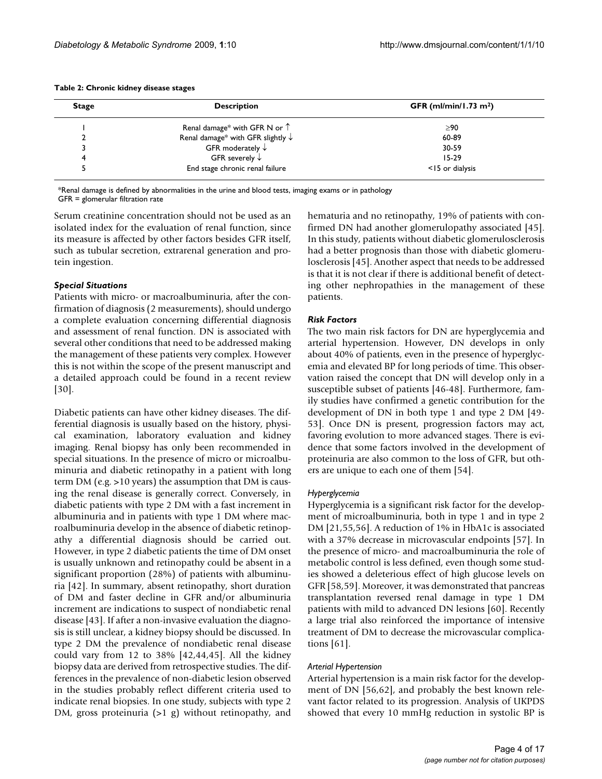| <b>Stage</b> | <b>Description</b>                           | <b>GFR</b> (ml/min/1.73 m <sup>2</sup> ) |  |
|--------------|----------------------------------------------|------------------------------------------|--|
|              | Renal damage* with GFR N or $\uparrow$       | ≥90                                      |  |
|              | Renal damage* with GFR slightly $\downarrow$ | 60-89                                    |  |
|              | GFR moderately $\downarrow$                  | 30-59                                    |  |
| 4            | GFR severely $\downarrow$                    | $15 - 29$                                |  |
|              | End stage chronic renal failure              | $<$ 15 or dialysis                       |  |

#### **Table 2: Chronic kidney disease stages**

\*Renal damage is defined by abnormalities in the urine and blood tests, imaging exams or in pathology

GFR = glomerular filtration rate

Serum creatinine concentration should not be used as an isolated index for the evaluation of renal function, since its measure is affected by other factors besides GFR itself, such as tubular secretion, extrarenal generation and protein ingestion.

#### *Special Situations*

Patients with micro- or macroalbuminuria, after the confirmation of diagnosis (2 measurements), should undergo a complete evaluation concerning differential diagnosis and assessment of renal function. DN is associated with several other conditions that need to be addressed making the management of these patients very complex. However this is not within the scope of the present manuscript and a detailed approach could be found in a recent review [30].

Diabetic patients can have other kidney diseases. The differential diagnosis is usually based on the history, physical examination, laboratory evaluation and kidney imaging. Renal biopsy has only been recommended in special situations. In the presence of micro or microalbuminuria and diabetic retinopathy in a patient with long term DM (e.g. >10 years) the assumption that DM is causing the renal disease is generally correct. Conversely, in diabetic patients with type 2 DM with a fast increment in albuminuria and in patients with type 1 DM where macroalbuminuria develop in the absence of diabetic retinopathy a differential diagnosis should be carried out. However, in type 2 diabetic patients the time of DM onset is usually unknown and retinopathy could be absent in a significant proportion (28%) of patients with albuminuria [42]. In summary, absent retinopathy, short duration of DM and faster decline in GFR and/or albuminuria increment are indications to suspect of nondiabetic renal disease [43]. If after a non-invasive evaluation the diagnosis is still unclear, a kidney biopsy should be discussed. In type 2 DM the prevalence of nondiabetic renal disease could vary from 12 to 38% [42,44,45]. All the kidney biopsy data are derived from retrospective studies. The differences in the prevalence of non-diabetic lesion observed in the studies probably reflect different criteria used to indicate renal biopsies. In one study, subjects with type 2 DM, gross proteinuria (>1 g) without retinopathy, and

hematuria and no retinopathy, 19% of patients with confirmed DN had another glomerulopathy associated [45]. In this study, patients without diabetic glomerulosclerosis had a better prognosis than those with diabetic glomerulosclerosis [45]. Another aspect that needs to be addressed is that it is not clear if there is additional benefit of detecting other nephropathies in the management of these patients.

#### *Risk Factors*

The two main risk factors for DN are hyperglycemia and arterial hypertension. However, DN develops in only about 40% of patients, even in the presence of hyperglycemia and elevated BP for long periods of time. This observation raised the concept that DN will develop only in a susceptible subset of patients [46-48]. Furthermore, family studies have confirmed a genetic contribution for the development of DN in both type 1 and type 2 DM [49- 53]. Once DN is present, progression factors may act, favoring evolution to more advanced stages. There is evidence that some factors involved in the development of proteinuria are also common to the loss of GFR, but others are unique to each one of them [54].

#### *Hyperglycemia*

Hyperglycemia is a significant risk factor for the development of microalbuminuria, both in type 1 and in type 2 DM [21,55,56]. A reduction of 1% in HbA1c is associated with a 37% decrease in microvascular endpoints [57]. In the presence of micro- and macroalbuminuria the role of metabolic control is less defined, even though some studies showed a deleterious effect of high glucose levels on GFR [58,59]. Moreover, it was demonstrated that pancreas transplantation reversed renal damage in type 1 DM patients with mild to advanced DN lesions [60]. Recently a large trial also reinforced the importance of intensive treatment of DM to decrease the microvascular complications [61].

#### *Arterial Hypertension*

Arterial hypertension is a main risk factor for the development of DN [56,62], and probably the best known relevant factor related to its progression. Analysis of UKPDS showed that every 10 mmHg reduction in systolic BP is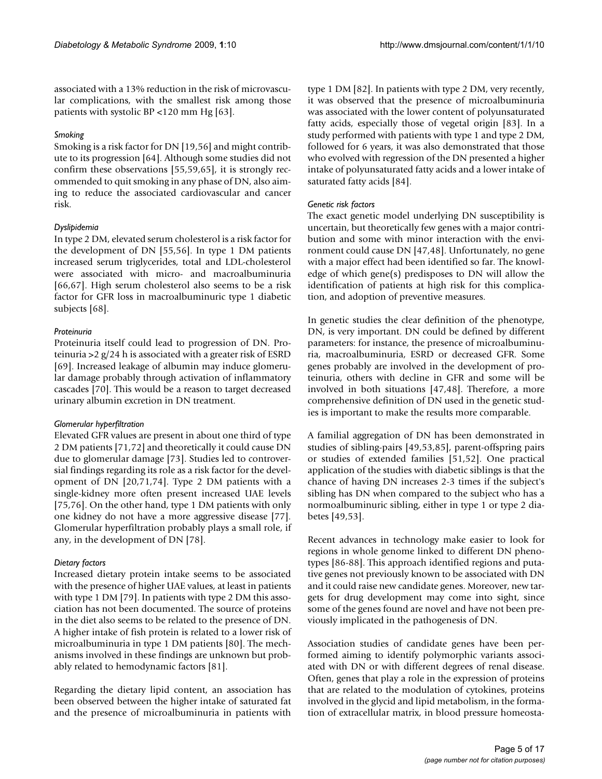associated with a 13% reduction in the risk of microvascular complications, with the smallest risk among those patients with systolic BP <120 mm Hg [63].

#### *Smoking*

Smoking is a risk factor for DN [19,56] and might contribute to its progression [64]. Although some studies did not confirm these observations [55,59,65], it is strongly recommended to quit smoking in any phase of DN, also aiming to reduce the associated cardiovascular and cancer risk.

#### *Dyslipidemia*

In type 2 DM, elevated serum cholesterol is a risk factor for the development of DN [55,56]. In type 1 DM patients increased serum triglycerides, total and LDL-cholesterol were associated with micro- and macroalbuminuria [66,67]. High serum cholesterol also seems to be a risk factor for GFR loss in macroalbuminuric type 1 diabetic subjects [68].

#### *Proteinuria*

Proteinuria itself could lead to progression of DN. Proteinuria >2 g/24 h is associated with a greater risk of ESRD [69]. Increased leakage of albumin may induce glomerular damage probably through activation of inflammatory cascades [70]. This would be a reason to target decreased urinary albumin excretion in DN treatment.

#### *Glomerular hyperfiltration*

Elevated GFR values are present in about one third of type 2 DM patients [71,72] and theoretically it could cause DN due to glomerular damage [73]. Studies led to controversial findings regarding its role as a risk factor for the development of DN [20,71,74]. Type 2 DM patients with a single-kidney more often present increased UAE levels [75,76]. On the other hand, type 1 DM patients with only one kidney do not have a more aggressive disease [77]. Glomerular hyperfiltration probably plays a small role, if any, in the development of DN [78].

#### *Dietary factors*

Increased dietary protein intake seems to be associated with the presence of higher UAE values, at least in patients with type 1 DM [79]. In patients with type 2 DM this association has not been documented. The source of proteins in the diet also seems to be related to the presence of DN. A higher intake of fish protein is related to a lower risk of microalbuminuria in type 1 DM patients [80]. The mechanisms involved in these findings are unknown but probably related to hemodynamic factors [81].

Regarding the dietary lipid content, an association has been observed between the higher intake of saturated fat and the presence of microalbuminuria in patients with

type 1 DM [82]. In patients with type 2 DM, very recently, it was observed that the presence of microalbuminuria was associated with the lower content of polyunsaturated fatty acids, especially those of vegetal origin [83]. In a study performed with patients with type 1 and type 2 DM, followed for 6 years, it was also demonstrated that those who evolved with regression of the DN presented a higher intake of polyunsaturated fatty acids and a lower intake of saturated fatty acids [84].

#### *Genetic risk factors*

The exact genetic model underlying DN susceptibility is uncertain, but theoretically few genes with a major contribution and some with minor interaction with the environment could cause DN [47,48]. Unfortunately, no gene with a major effect had been identified so far. The knowledge of which gene(s) predisposes to DN will allow the identification of patients at high risk for this complication, and adoption of preventive measures.

In genetic studies the clear definition of the phenotype, DN, is very important. DN could be defined by different parameters: for instance, the presence of microalbuminuria, macroalbuminuria, ESRD or decreased GFR. Some genes probably are involved in the development of proteinuria, others with decline in GFR and some will be involved in both situations [47,48]. Therefore, a more comprehensive definition of DN used in the genetic studies is important to make the results more comparable.

A familial aggregation of DN has been demonstrated in studies of sibling-pairs [49,53,85], parent-offspring pairs or studies of extended families [51,52]. One practical application of the studies with diabetic siblings is that the chance of having DN increases 2-3 times if the subject's sibling has DN when compared to the subject who has a normoalbuminuric sibling, either in type 1 or type 2 diabetes [49,53].

Recent advances in technology make easier to look for regions in whole genome linked to different DN phenotypes [86-88]. This approach identified regions and putative genes not previously known to be associated with DN and it could raise new candidate genes. Moreover, new targets for drug development may come into sight, since some of the genes found are novel and have not been previously implicated in the pathogenesis of DN.

Association studies of candidate genes have been performed aiming to identify polymorphic variants associated with DN or with different degrees of renal disease. Often, genes that play a role in the expression of proteins that are related to the modulation of cytokines, proteins involved in the glycid and lipid metabolism, in the formation of extracellular matrix, in blood pressure homeosta-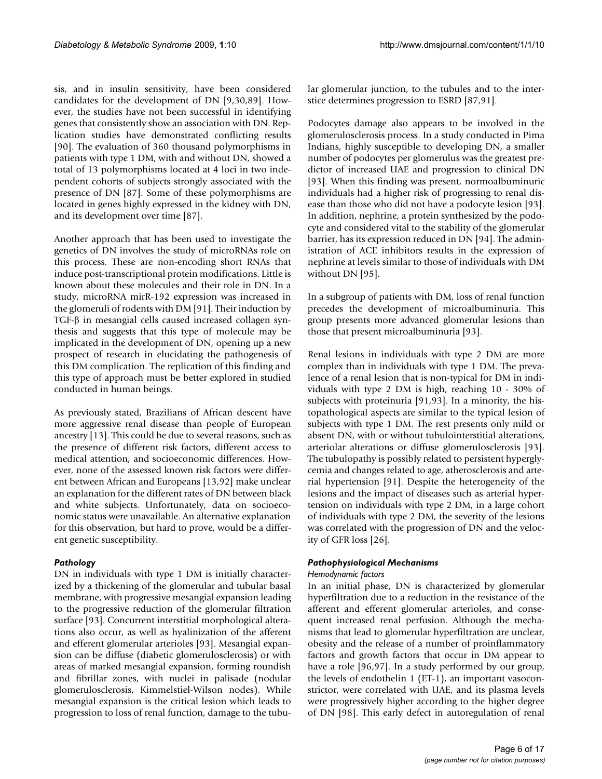sis, and in insulin sensitivity, have been considered candidates for the development of DN [9,30,89]. However, the studies have not been successful in identifying genes that consistently show an association with DN. Replication studies have demonstrated conflicting results [90]. The evaluation of 360 thousand polymorphisms in patients with type 1 DM, with and without DN, showed a total of 13 polymorphisms located at 4 loci in two independent cohorts of subjects strongly associated with the presence of DN [87]. Some of these polymorphisms are located in genes highly expressed in the kidney with DN, and its development over time [87].

Another approach that has been used to investigate the genetics of DN involves the study of microRNAs role on this process. These are non-encoding short RNAs that induce post-transcriptional protein modifications. Little is known about these molecules and their role in DN. In a study, microRNA mirR-192 expression was increased in the glomeruli of rodents with DM [91]. Their induction by TGF-β in mesangial cells caused increased collagen synthesis and suggests that this type of molecule may be implicated in the development of DN, opening up a new prospect of research in elucidating the pathogenesis of this DM complication. The replication of this finding and this type of approach must be better explored in studied conducted in human beings.

As previously stated, Brazilians of African descent have more aggressive renal disease than people of European ancestry [13]. This could be due to several reasons, such as the presence of different risk factors, different access to medical attention, and socioeconomic differences. However, none of the assessed known risk factors were different between African and Europeans [13,92] make unclear an explanation for the different rates of DN between black and white subjects. Unfortunately, data on socioeconomic status were unavailable. An alternative explanation for this observation, but hard to prove, would be a different genetic susceptibility.

#### *Pathology*

DN in individuals with type 1 DM is initially characterized by a thickening of the glomerular and tubular basal membrane, with progressive mesangial expansion leading to the progressive reduction of the glomerular filtration surface [93]. Concurrent interstitial morphological alterations also occur, as well as hyalinization of the afferent and efferent glomerular arterioles [93]. Mesangial expansion can be diffuse (diabetic glomerulosclerosis) or with areas of marked mesangial expansion, forming roundish and fibrillar zones, with nuclei in palisade (nodular glomerulosclerosis, Kimmelstiel-Wilson nodes). While mesangial expansion is the critical lesion which leads to progression to loss of renal function, damage to the tubular glomerular junction, to the tubules and to the interstice determines progression to ESRD [87,91].

Podocytes damage also appears to be involved in the glomerulosclerosis process. In a study conducted in Pima Indians, highly susceptible to developing DN, a smaller number of podocytes per glomerulus was the greatest predictor of increased UAE and progression to clinical DN [93]. When this finding was present, normoalbuminuric individuals had a higher risk of progressing to renal disease than those who did not have a podocyte lesion [93]. In addition, nephrine, a protein synthesized by the podocyte and considered vital to the stability of the glomerular barrier, has its expression reduced in DN [94]. The administration of ACE inhibitors results in the expression of nephrine at levels similar to those of individuals with DM without DN [95].

In a subgroup of patients with DM, loss of renal function precedes the development of microalbuminuria. This group presents more advanced glomerular lesions than those that present microalbuminuria [93].

Renal lesions in individuals with type 2 DM are more complex than in individuals with type 1 DM. The prevalence of a renal lesion that is non-typical for DM in individuals with type 2 DM is high, reaching 10 - 30% of subjects with proteinuria [91,93]. In a minority, the histopathological aspects are similar to the typical lesion of subjects with type 1 DM. The rest presents only mild or absent DN, with or without tubulointerstitial alterations, arteriolar alterations or diffuse glomerulosclerosis [93]. The tubulopathy is possibly related to persistent hyperglycemia and changes related to age, atherosclerosis and arterial hypertension [91]. Despite the heterogeneity of the lesions and the impact of diseases such as arterial hypertension on individuals with type 2 DM, in a large cohort of individuals with type 2 DM, the severity of the lesions was correlated with the progression of DN and the velocity of GFR loss [26].

#### *Pathophysiological Mechanisms*

#### *Hemodynamic factors*

In an initial phase, DN is characterized by glomerular hyperfiltration due to a reduction in the resistance of the afferent and efferent glomerular arterioles, and consequent increased renal perfusion. Although the mechanisms that lead to glomerular hyperfiltration are unclear, obesity and the release of a number of proinflammatory factors and growth factors that occur in DM appear to have a role [96,97]. In a study performed by our group, the levels of endothelin 1 (ET-1), an important vasoconstrictor, were correlated with UAE, and its plasma levels were progressively higher according to the higher degree of DN [98]. This early defect in autoregulation of renal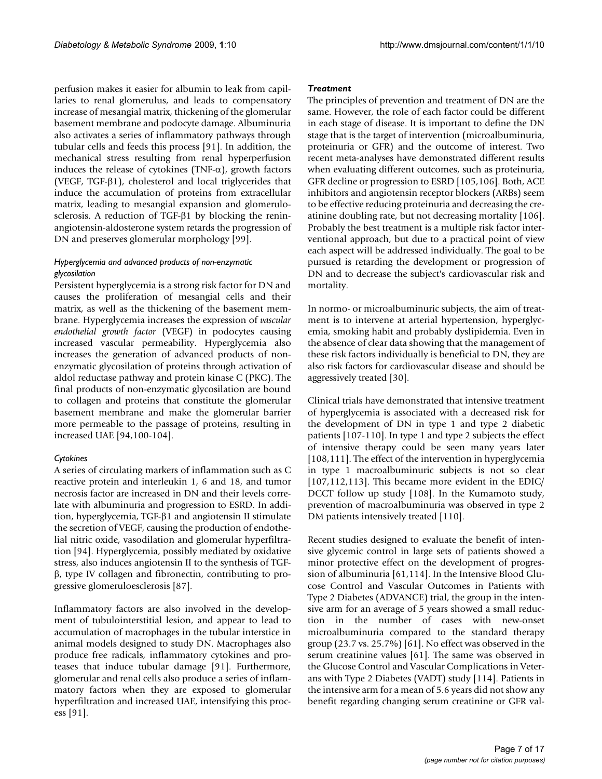perfusion makes it easier for albumin to leak from capillaries to renal glomerulus, and leads to compensatory increase of mesangial matrix, thickening of the glomerular basement membrane and podocyte damage. Albuminuria also activates a series of inflammatory pathways through tubular cells and feeds this process [91]. In addition, the mechanical stress resulting from renal hyperperfusion induces the release of cytokines (TNF- $\alpha$ ), growth factors (VEGF, TGF-β1), cholesterol and local triglycerides that induce the accumulation of proteins from extracellular matrix, leading to mesangial expansion and glomerulosclerosis. A reduction of TGF-β1 by blocking the reninangiotensin-aldosterone system retards the progression of DN and preserves glomerular morphology [99].

### *Hyperglycemia and advanced products of non-enzymatic glycosilation*

Persistent hyperglycemia is a strong risk factor for DN and causes the proliferation of mesangial cells and their matrix, as well as the thickening of the basement membrane. Hyperglycemia increases the expression of *vascular endothelial growth factor* (VEGF) in podocytes causing increased vascular permeability. Hyperglycemia also increases the generation of advanced products of nonenzymatic glycosilation of proteins through activation of aldol reductase pathway and protein kinase C (PKC). The final products of non-enzymatic glycosilation are bound to collagen and proteins that constitute the glomerular basement membrane and make the glomerular barrier more permeable to the passage of proteins, resulting in increased UAE [94,100-104].

#### *Cytokines*

A series of circulating markers of inflammation such as C reactive protein and interleukin 1, 6 and 18, and tumor necrosis factor are increased in DN and their levels correlate with albuminuria and progression to ESRD. In addition, hyperglycemia, TGF-β1 and angiotensin II stimulate the secretion of VEGF, causing the production of endothelial nitric oxide, vasodilation and glomerular hyperfiltration [94]. Hyperglycemia, possibly mediated by oxidative stress, also induces angiotensin II to the synthesis of TGFβ, type IV collagen and fibronectin, contributing to progressive glomeruloesclerosis [87].

Inflammatory factors are also involved in the development of tubulointerstitial lesion, and appear to lead to accumulation of macrophages in the tubular interstice in animal models designed to study DN. Macrophages also produce free radicals, inflammatory cytokines and proteases that induce tubular damage [91]. Furthermore, glomerular and renal cells also produce a series of inflammatory factors when they are exposed to glomerular hyperfiltration and increased UAE, intensifying this process [91].

#### *Treatment*

The principles of prevention and treatment of DN are the same. However, the role of each factor could be different in each stage of disease. It is important to define the DN stage that is the target of intervention (microalbuminuria, proteinuria or GFR) and the outcome of interest. Two recent meta-analyses have demonstrated different results when evaluating different outcomes, such as proteinuria, GFR decline or progression to ESRD [105,106]. Both, ACE inhibitors and angiotensin receptor blockers (ARBs) seem to be effective reducing proteinuria and decreasing the creatinine doubling rate, but not decreasing mortality [106]. Probably the best treatment is a multiple risk factor interventional approach, but due to a practical point of view each aspect will be addressed individually. The goal to be pursued is retarding the development or progression of DN and to decrease the subject's cardiovascular risk and mortality.

In normo- or microalbuminuric subjects, the aim of treatment is to intervene at arterial hypertension, hyperglycemia, smoking habit and probably dyslipidemia. Even in the absence of clear data showing that the management of these risk factors individually is beneficial to DN, they are also risk factors for cardiovascular disease and should be aggressively treated [30].

Clinical trials have demonstrated that intensive treatment of hyperglycemia is associated with a decreased risk for the development of DN in type 1 and type 2 diabetic patients [107-110]. In type 1 and type 2 subjects the effect of intensive therapy could be seen many years later [108,111]. The effect of the intervention in hyperglycemia in type 1 macroalbuminuric subjects is not so clear [107,112,113]. This became more evident in the EDIC/ DCCT follow up study [108]. In the Kumamoto study, prevention of macroalbuminuria was observed in type 2 DM patients intensively treated [110].

Recent studies designed to evaluate the benefit of intensive glycemic control in large sets of patients showed a minor protective effect on the development of progression of albuminuria [61,114]. In the Intensive Blood Glucose Control and Vascular Outcomes in Patients with Type 2 Diabetes (ADVANCE) trial, the group in the intensive arm for an average of 5 years showed a small reduction in the number of cases with new-onset microalbuminuria compared to the standard therapy group (23.7 vs. 25.7%) [61]. No effect was observed in the serum creatinine values [61]. The same was observed in the Glucose Control and Vascular Complications in Veterans with Type 2 Diabetes (VADT) study [114]. Patients in the intensive arm for a mean of 5.6 years did not show any benefit regarding changing serum creatinine or GFR val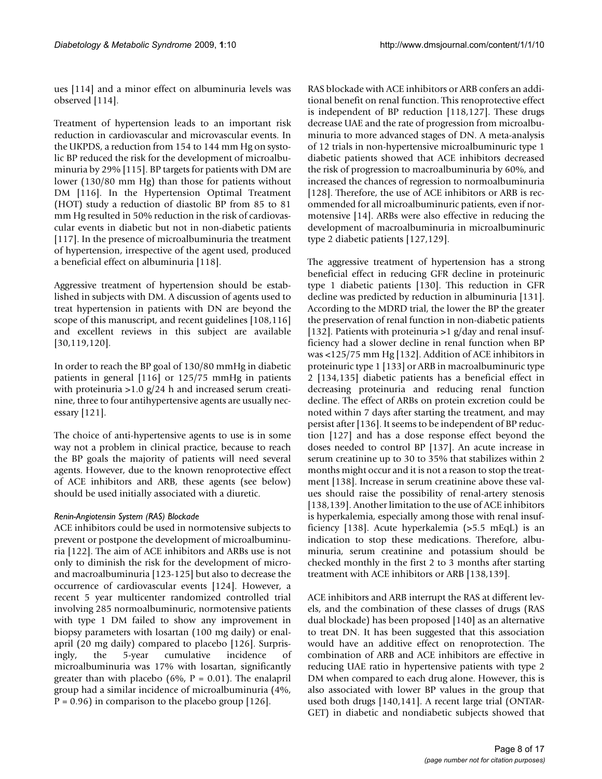ues [114] and a minor effect on albuminuria levels was observed [114].

Treatment of hypertension leads to an important risk reduction in cardiovascular and microvascular events. In the UKPDS, a reduction from 154 to 144 mm Hg on systolic BP reduced the risk for the development of microalbuminuria by 29% [115]. BP targets for patients with DM are lower (130/80 mm Hg) than those for patients without DM [116]. In the Hypertension Optimal Treatment (HOT) study a reduction of diastolic BP from 85 to 81 mm Hg resulted in 50% reduction in the risk of cardiovascular events in diabetic but not in non-diabetic patients [117]. In the presence of microalbuminuria the treatment of hypertension, irrespective of the agent used, produced a beneficial effect on albuminuria [118].

Aggressive treatment of hypertension should be established in subjects with DM. A discussion of agents used to treat hypertension in patients with DN are beyond the scope of this manuscript, and recent guidelines [108,116] and excellent reviews in this subject are available [30,119,120].

In order to reach the BP goal of 130/80 mmHg in diabetic patients in general [116] or 125/75 mmHg in patients with proteinuria >1.0 g/24 h and increased serum creatinine, three to four antihypertensive agents are usually necessary [121].

The choice of anti-hypertensive agents to use is in some way not a problem in clinical practice, because to reach the BP goals the majority of patients will need several agents. However, due to the known renoprotective effect of ACE inhibitors and ARB, these agents (see below) should be used initially associated with a diuretic.

#### *Renin-Angiotensin System (RAS) Blockade*

ACE inhibitors could be used in normotensive subjects to prevent or postpone the development of microalbuminuria [122]. The aim of ACE inhibitors and ARBs use is not only to diminish the risk for the development of microand macroalbuminuria [123-125] but also to decrease the occurrence of cardiovascular events [124]. However, a recent 5 year multicenter randomized controlled trial involving 285 normoalbuminuric, normotensive patients with type 1 DM failed to show any improvement in biopsy parameters with losartan (100 mg daily) or enalapril (20 mg daily) compared to placebo [126]. Surprisingly, the 5-year cumulative incidence of microalbuminuria was 17% with losartan, significantly greater than with placebo (6%,  $P = 0.01$ ). The enalapril group had a similar incidence of microalbuminuria (4%,  $P = 0.96$ ) in comparison to the placebo group [126].

RAS blockade with ACE inhibitors or ARB confers an additional benefit on renal function. This renoprotective effect is independent of BP reduction [118,127]. These drugs decrease UAE and the rate of progression from microalbuminuria to more advanced stages of DN. A meta-analysis of 12 trials in non-hypertensive microalbuminuric type 1 diabetic patients showed that ACE inhibitors decreased the risk of progression to macroalbuminuria by 60%, and increased the chances of regression to normoalbuminuria [[128\]](#page-15-0). Therefore, the use of ACE inhibitors or ARB is recommended for all microalbuminuric patients, even if normotensive [14]. ARBs were also effective in reducing the development of macroalbuminuria in microalbuminuric type 2 diabetic patients [127,129].

The aggressive treatment of hypertension has a strong beneficial effect in reducing GFR decline in proteinuric type 1 diabetic patients [130]. This reduction in GFR decline was predicted by reduction in albuminuria [131]. According to the MDRD trial, the lower the BP the greater the preservation of renal function in non-diabetic patients [132]. Patients with proteinuria  $>1$  g/day and renal insufficiency had a slower decline in renal function when BP was <125/75 mm Hg [132]. Addition of ACE inhibitors in proteinuric type 1 [133] or ARB in macroalbuminuric type 2 [134,135] diabetic patients has a beneficial effect in decreasing proteinuria and reducing renal function decline. The effect of ARBs on protein excretion could be noted within 7 days after starting the treatment, and may persist after [136]. It seems to be independent of BP reduction [127] and has a dose response effect beyond the doses needed to control BP [137]. An acute increase in serum creatinine up to 30 to 35% that stabilizes within 2 months might occur and it is not a reason to stop the treatment [138]. Increase in serum creatinine above these values should raise the possibility of renal-artery stenosis [138,139]. Another limitation to the use of ACE inhibitors is hyperkalemia, especially among those with renal insufficiency [138]. Acute hyperkalemia (>5.5 mEqL) is an indication to stop these medications. Therefore, albuminuria, serum creatinine and potassium should be checked monthly in the first 2 to 3 months after starting treatment with ACE inhibitors or ARB [138,139].

ACE inhibitors and ARB interrupt the RAS at different levels, and the combination of these classes of drugs (RAS dual blockade) has been proposed [140] as an alternative to treat DN. It has been suggested that this association would have an additive effect on renoprotection. The combination of ARB and ACE inhibitors are effective in reducing UAE ratio in hypertensive patients with type 2 DM when compared to each drug alone. However, this is also associated with lower BP values in the group that used both drugs [140,141]. A recent large trial (ONTAR-GET) in diabetic and nondiabetic subjects showed that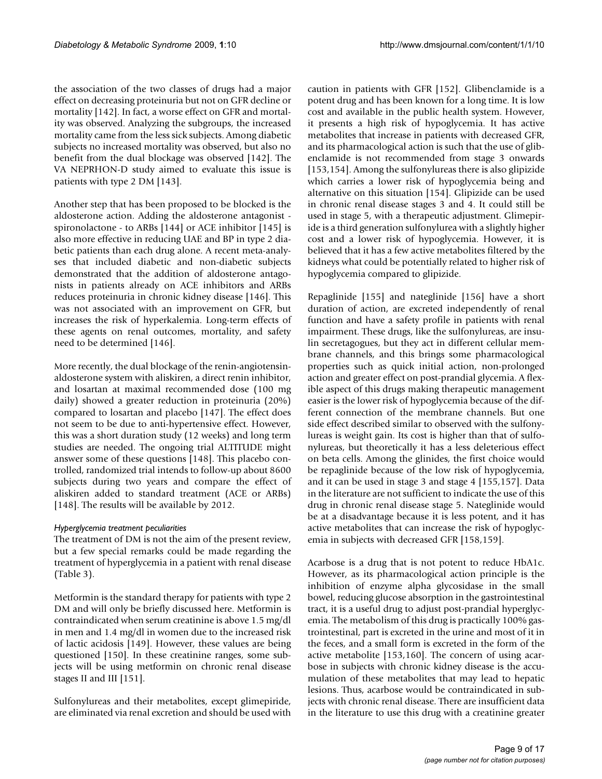the association of the two classes of drugs had a major effect on decreasing proteinuria but not on GFR decline or mortality [142]. In fact, a worse effect on GFR and mortality was observed. Analyzing the subgroups, the increased mortality came from the less sick subjects. Among diabetic subjects no increased mortality was observed, but also no benefit from the dual blockage was observed [142]. The VA NEPRHON-D study aimed to evaluate this issue is patients with type 2 DM [143].

Another step that has been proposed to be blocked is the aldosterone action. Adding the aldosterone antagonist spironolactone - to ARBs [144] or ACE inhibitor [145] is also more effective in reducing UAE and BP in type 2 diabetic patients than each drug alone. A recent meta-analyses that included diabetic and non-diabetic subjects demonstrated that the addition of aldosterone antagonists in patients already on ACE inhibitors and ARBs reduces proteinuria in chronic kidney disease [146]. This was not associated with an improvement on GFR, but increases the risk of hyperkalemia. Long-term effects of these agents on renal outcomes, mortality, and safety need to be determined [146].

More recently, the dual blockage of the renin-angiotensinaldosterone system with aliskiren, a direct renin inhibitor, and losartan at maximal recommended dose (100 mg daily) showed a greater reduction in proteinuria (20%) compared to losartan and placebo [147]. The effect does not seem to be due to anti-hypertensive effect. However, this was a short duration study (12 weeks) and long term studies are needed. The ongoing trial ALTITUDE might answer some of these questions [148]. This placebo controlled, randomized trial intends to follow-up about 8600 subjects during two years and compare the effect of aliskiren added to standard treatment (ACE or ARBs) [148]. The results will be available by 2012.

#### *Hyperglycemia treatment peculiarities*

The treatment of DM is not the aim of the present review, but a few special remarks could be made regarding the treatment of hyperglycemia in a patient with renal disease (Table 3).

Metformin is the standard therapy for patients with type 2 DM and will only be briefly discussed here. Metformin is contraindicated when serum creatinine is above 1.5 mg/dl in men and 1.4 mg/dl in women due to the increased risk of lactic acidosis [149]. However, these values are being questioned [150]. In these creatinine ranges, some subjects will be using metformin on chronic renal disease stages II and III [151].

Sulfonylureas and their metabolites, except glimepiride, are eliminated via renal excretion and should be used with caution in patients with GFR [152]. Glibenclamide is a potent drug and has been known for a long time. It is low cost and available in the public health system. However, it presents a high risk of hypoglycemia. It has active metabolites that increase in patients with decreased GFR, and its pharmacological action is such that the use of glibenclamide is not recommended from stage 3 onwards [153,154]. Among the sulfonylureas there is also glipizide which carries a lower risk of hypoglycemia being and alternative on this situation [154]. Glipizide can be used in chronic renal disease stages 3 and 4. It could still be used in stage 5, with a therapeutic adjustment. Glimepiride is a third generation sulfonylurea with a slightly higher cost and a lower risk of hypoglycemia. However, it is believed that it has a few active metabolites filtered by the kidneys what could be potentially related to higher risk of hypoglycemia compared to glipizide.

Repaglinide [155] and nateglinide [156] have a short duration of action, are excreted independently of renal function and have a safety profile in patients with renal impairment. These drugs, like the sulfonylureas, are insulin secretagogues, but they act in different cellular membrane channels, and this brings some pharmacological properties such as quick initial action, non-prolonged action and greater effect on post-prandial glycemia. A flexible aspect of this drugs making therapeutic management easier is the lower risk of hypoglycemia because of the different connection of the membrane channels. But one side effect described similar to observed with the sulfonylureas is weight gain. Its cost is higher than that of sulfonylureas, but theoretically it has a less deleterious effect on beta cells. Among the glinides, the first choice would be repaglinide because of the low risk of hypoglycemia, and it can be used in stage 3 and stage 4 [155,157]. Data in the literature are not sufficient to indicate the use of this drug in chronic renal disease stage 5. Nateglinide would be at a disadvantage because it is less potent, and it has active metabolites that can increase the risk of hypoglycemia in subjects with decreased GFR [158,159].

Acarbose is a drug that is not potent to reduce HbA1c. However, as its pharmacological action principle is the inhibition of enzyme alpha glycosidase in the small bowel, reducing glucose absorption in the gastrointestinal tract, it is a useful drug to adjust post-prandial hyperglycemia. The metabolism of this drug is practically 100% gastrointestinal, part is excreted in the urine and most of it in the feces, and a small form is excreted in the form of the active metabolite [153,160]. The concern of using acarbose in subjects with chronic kidney disease is the accumulation of these metabolites that may lead to hepatic lesions. Thus, acarbose would be contraindicated in subjects with chronic renal disease. There are insufficient data in the literature to use this drug with a creatinine greater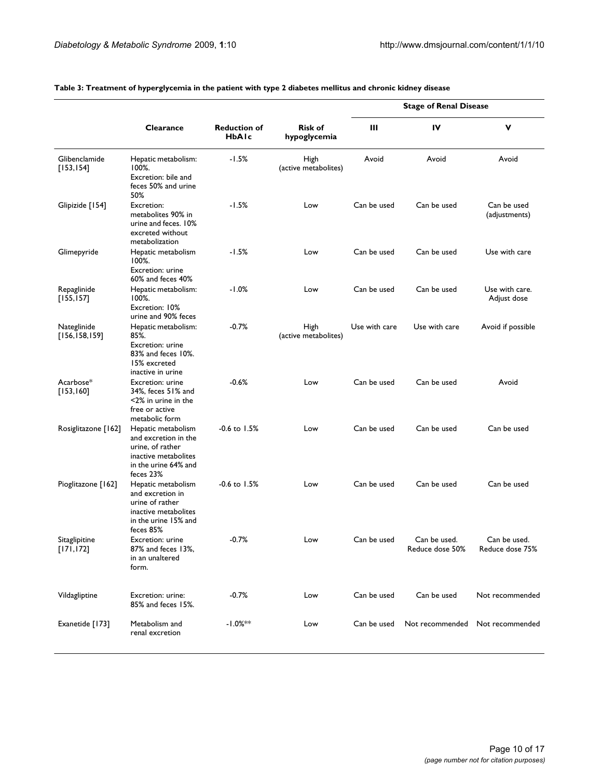|                                |                                                                                                                             |                                     |                                | <b>Stage of Renal Disease</b> |                                 |                                 |
|--------------------------------|-----------------------------------------------------------------------------------------------------------------------------|-------------------------------------|--------------------------------|-------------------------------|---------------------------------|---------------------------------|
|                                | Clearance                                                                                                                   | <b>Reduction of</b><br><b>HbAIc</b> | <b>Risk of</b><br>hypoglycemia | Ш                             | IV                              | v                               |
| Glibenclamide<br>[153, 154]    | Hepatic metabolism:<br>100%.<br>Excretion: bile and<br>feces 50% and urine<br>50%                                           | $-1.5%$                             | High<br>(active metabolites)   | Avoid                         | Avoid                           | Avoid                           |
| Glipizide [154]                | Excretion:<br>metabolites 90% in<br>urine and feces. 10%<br>excreted without<br>metabolization                              | $-1.5%$                             | Low                            | Can be used                   | Can be used                     | Can be used<br>(adjustments)    |
| Glimepyride                    | Hepatic metabolism<br>100%.<br>Excretion: urine<br>60% and feces 40%                                                        | -1.5%                               | Low                            | Can be used                   | Can be used                     | Use with care                   |
| Repaglinide<br>[155, 157]      | Hepatic metabolism:<br>100%.<br>Excretion: 10%<br>urine and 90% feces                                                       | $-1.0%$                             | Low                            | Can be used                   | Can be used                     | Use with care.<br>Adjust dose   |
| Nateglinide<br>[156, 158, 159] | Hepatic metabolism:<br>85%.<br>Excretion: urine<br>83% and feces 10%.<br>15% excreted<br>inactive in urine                  | $-0.7%$                             | High<br>(active metabolites)   | Use with care                 | Use with care                   | Avoid if possible               |
| Acarbose*<br>[153, 160]        | Excretion: urine<br>34%, feces 51% and<br><2% in urine in the<br>free or active<br>metabolic form                           | $-0.6%$                             | Low                            | Can be used                   | Can be used                     | Avoid                           |
| Rosiglitazone [162]            | Hepatic metabolism<br>and excretion in the<br>urine, of rather<br>inactive metabolites<br>in the urine 64% and<br>feces 23% | $-0.6$ to 1.5%                      | Low                            | Can be used                   | Can be used                     | Can be used                     |
| Pioglitazone [162]             | Hepatic metabolism<br>and excretion in<br>urine of rather<br>inactive metabolites<br>in the urine 15% and<br>feces 85%      | $-0.6$ to $1.5%$                    | Low                            | Can be used                   | Can be used                     | Can be used                     |
| Sitaglipitine<br>[171, 172]    | Excretion: urine<br>87% and feces 13%,<br>in an unaltered<br>form.                                                          | $-0.7%$                             | Low                            | Can be used                   | Can be used.<br>Reduce dose 50% | Can be used.<br>Reduce dose 75% |
| Vildagliptine                  | Excretion: urine:<br>85% and feces 15%.                                                                                     | $-0.7%$                             | Low                            | Can be used                   | Can be used                     | Not recommended                 |
| Exanetide [173]                | Metabolism and<br>renal excretion                                                                                           | $-1.0%$ **                          | Low                            | Can be used                   | Not recommended                 | Not recommended                 |

#### **Table 3: Treatment of hyperglycemia in the patient with type 2 diabetes mellitus and chronic kidney disease**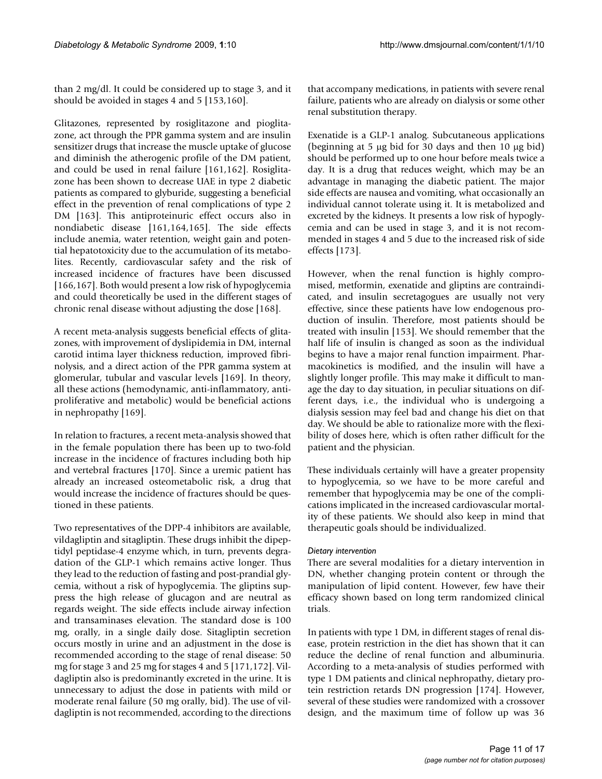than 2 mg/dl. It could be considered up to stage 3, and it should be avoided in stages 4 and 5 [153,160].

Glitazones, represented by rosiglitazone and pioglitazone, act through the PPR gamma system and are insulin sensitizer drugs that increase the muscle uptake of glucose and diminish the atherogenic profile of the DM patient, and could be used in renal failure [161,162]. Rosiglitazone has been shown to decrease UAE in type 2 diabetic patients as compared to glyburide, suggesting a beneficial effect in the prevention of renal complications of type 2 DM [163]. This antiproteinuric effect occurs also in nondiabetic disease [161,164,165]. The side effects include anemia, water retention, weight gain and potential hepatotoxicity due to the accumulation of its metabolites. Recently, cardiovascular safety and the risk of increased incidence of fractures have been discussed [166,167]. Both would present a low risk of hypoglycemia and could theoretically be used in the different stages of chronic renal disease without adjusting the dose [168].

A recent meta-analysis suggests beneficial effects of glitazones, with improvement of dyslipidemia in DM, internal carotid intima layer thickness reduction, improved fibrinolysis, and a direct action of the PPR gamma system at glomerular, tubular and vascular levels [169]. In theory, all these actions (hemodynamic, anti-inflammatory, antiproliferative and metabolic) would be beneficial actions in nephropathy [169].

In relation to fractures, a recent meta-analysis showed that in the female population there has been up to two-fold increase in the incidence of fractures including both hip and vertebral fractures [170]. Since a uremic patient has already an increased osteometabolic risk, a drug that would increase the incidence of fractures should be questioned in these patients.

Two representatives of the DPP-4 inhibitors are available, vildagliptin and sitagliptin. These drugs inhibit the dipeptidyl peptidase-4 enzyme which, in turn, prevents degradation of the GLP-1 which remains active longer. Thus they lead to the reduction of fasting and post-prandial glycemia, without a risk of hypoglycemia. The gliptins suppress the high release of glucagon and are neutral as regards weight. The side effects include airway infection and transaminases elevation. The standard dose is 100 mg, orally, in a single daily dose. Sitagliptin secretion occurs mostly in urine and an adjustment in the dose is recommended according to the stage of renal disease: 50 mg for stage 3 and 25 mg for stages 4 and 5 [171,172]. Vildagliptin also is predominantly excreted in the urine. It is unnecessary to adjust the dose in patients with mild or moderate renal failure (50 mg orally, bid). The use of vildagliptin is not recommended, according to the directions

that accompany medications, in patients with severe renal failure, patients who are already on dialysis or some other renal substitution therapy.

Exenatide is a GLP-1 analog. Subcutaneous applications (beginning at 5 μg bid for 30 days and then 10 μg bid) should be performed up to one hour before meals twice a day. It is a drug that reduces weight, which may be an advantage in managing the diabetic patient. The major side effects are nausea and vomiting, what occasionally an individual cannot tolerate using it. It is metabolized and excreted by the kidneys. It presents a low risk of hypoglycemia and can be used in stage 3, and it is not recommended in stages 4 and 5 due to the increased risk of side effects [173].

However, when the renal function is highly compromised, metformin, exenatide and gliptins are contraindicated, and insulin secretagogues are usually not very effective, since these patients have low endogenous production of insulin. Therefore, most patients should be treated with insulin [153]. We should remember that the half life of insulin is changed as soon as the individual begins to have a major renal function impairment. Pharmacokinetics is modified, and the insulin will have a slightly longer profile. This may make it difficult to manage the day to day situation, in peculiar situations on different days, i.e., the individual who is undergoing a dialysis session may feel bad and change his diet on that day. We should be able to rationalize more with the flexibility of doses here, which is often rather difficult for the patient and the physician.

These individuals certainly will have a greater propensity to hypoglycemia, so we have to be more careful and remember that hypoglycemia may be one of the complications implicated in the increased cardiovascular mortality of these patients. We should also keep in mind that therapeutic goals should be individualized.

#### *Dietary intervention*

There are several modalities for a dietary intervention in DN, whether changing protein content or through the manipulation of lipid content. However, few have their efficacy shown based on long term randomized clinical trials.

In patients with type 1 DM, in different stages of renal disease, protein restriction in the diet has shown that it can reduce the decline of renal function and albuminuria. According to a meta-analysis of studies performed with type 1 DM patients and clinical nephropathy, dietary protein restriction retards DN progression [174]. However, several of these studies were randomized with a crossover design, and the maximum time of follow up was 36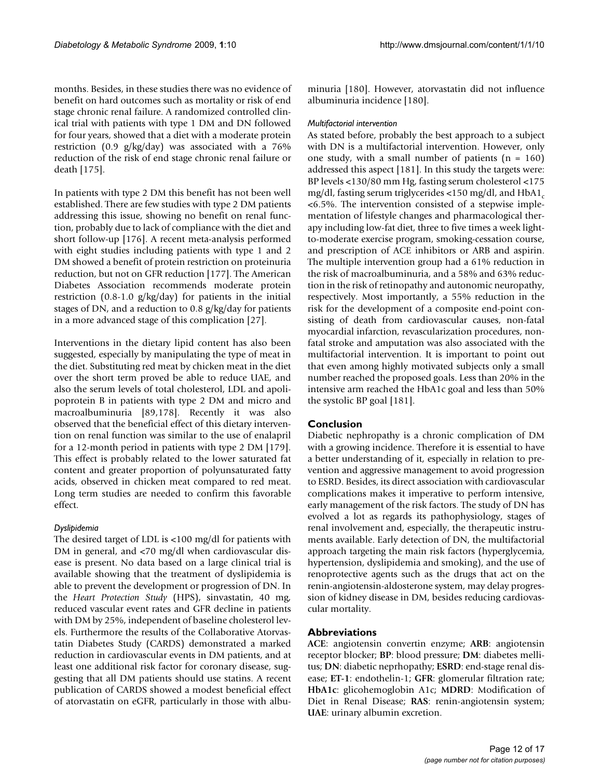months. Besides, in these studies there was no evidence of benefit on hard outcomes such as mortality or risk of end stage chronic renal failure. A randomized controlled clinical trial with patients with type 1 DM and DN followed for four years, showed that a diet with a moderate protein restriction (0.9 g/kg/day) was associated with a 76% reduction of the risk of end stage chronic renal failure or death [175].

In patients with type 2 DM this benefit has not been well established. There are few studies with type 2 DM patients addressing this issue, showing no benefit on renal function, probably due to lack of compliance with the diet and short follow-up [176]. A recent meta-analysis performed with eight studies including patients with type 1 and 2 DM showed a benefit of protein restriction on proteinuria reduction, but not on GFR reduction [177]. The American Diabetes Association recommends moderate protein restriction (0.8-1.0 g/kg/day) for patients in the initial stages of DN, and a reduction to 0.8 g/kg/day for patients in a more advanced stage of this complication [[27](#page-12-0)].

Interventions in the dietary lipid content has also been suggested, especially by manipulating the type of meat in the diet. Substituting red meat by chicken meat in the diet over the short term proved be able to reduce UAE, and also the serum levels of total cholesterol, LDL and apolipoprotein B in patients with type 2 DM and micro and macroalbuminuria [89,178]. Recently it was also observed that the beneficial effect of this dietary intervention on renal function was similar to the use of enalapril for a 12-month period in patients with type 2 DM [179]. This effect is probably related to the lower saturated fat content and greater proportion of polyunsaturated fatty acids, observed in chicken meat compared to red meat. Long term studies are needed to confirm this favorable effect.

#### *Dyslipidemia*

The desired target of LDL is <100 mg/dl for patients with DM in general, and <70 mg/dl when cardiovascular disease is present. No data based on a large clinical trial is available showing that the treatment of dyslipidemia is able to prevent the development or progression of DN. In the *Heart Protection Study* (HPS), sinvastatin, 40 mg, reduced vascular event rates and GFR decline in patients with DM by 25%, independent of baseline cholesterol levels. Furthermore the results of the Collaborative Atorvastatin Diabetes Study (CARDS) demonstrated a marked reduction in cardiovascular events in DM patients, and at least one additional risk factor for coronary disease, suggesting that all DM patients should use statins. A recent publication of CARDS showed a modest beneficial effect of atorvastatin on eGFR, particularly in those with albuminuria [180]. However, atorvastatin did not influence albuminuria incidence [180].

#### *Multifactorial intervention*

As stated before, probably the best approach to a subject with DN is a multifactorial intervention. However, only one study, with a small number of patients  $(n = 160)$ addressed this aspect [181]. In this study the targets were: BP levels <130/80 mm Hg, fasting serum cholesterol <175 mg/dl, fasting serum triglycerides  $\langle 150 \text{ mg}/\text{dl} \rangle$  and HbA1. <6.5%. The intervention consisted of a stepwise implementation of lifestyle changes and pharmacological therapy including low-fat diet, three to five times a week lightto-moderate exercise program, smoking-cessation course, and prescription of ACE inhibitors or ARB and aspirin. The multiple intervention group had a 61% reduction in the risk of macroalbuminuria, and a 58% and 63% reduction in the risk of retinopathy and autonomic neuropathy, respectively. Most importantly, a 55% reduction in the risk for the development of a composite end-point consisting of death from cardiovascular causes, non-fatal myocardial infarction, revascularization procedures, nonfatal stroke and amputation was also associated with the multifactorial intervention. It is important to point out that even among highly motivated subjects only a small number reached the proposed goals. Less than 20% in the intensive arm reached the HbA1c goal and less than 50% the systolic BP goal [181].

#### **Conclusion**

Diabetic nephropathy is a chronic complication of DM with a growing incidence. Therefore it is essential to have a better understanding of it, especially in relation to prevention and aggressive management to avoid progression to ESRD. Besides, its direct association with cardiovascular complications makes it imperative to perform intensive, early management of the risk factors. The study of DN has evolved a lot as regards its pathophysiology, stages of renal involvement and, especially, the therapeutic instruments available. Early detection of DN, the multifactorial approach targeting the main risk factors (hyperglycemia, hypertension, dyslipidemia and smoking), and the use of renoprotective agents such as the drugs that act on the renin-angiotensin-aldosterone system, may delay progression of kidney disease in DM, besides reducing cardiovascular mortality.

#### **Abbreviations**

**ACE**: angiotensin convertin enzyme; **ARB**: angiotensin receptor blocker; **BP**: blood pressure; **DM**: diabetes mellitus; **DN**: diabetic neprhopathy; **ESRD**: end-stage renal disease; **ET-1**: endothelin-1; **GFR**: glomerular filtration rate; **HbA1c**: glicohemoglobin A1c; **MDRD**: Modification of Diet in Renal Disease; **RAS**: renin-angiotensin system; **UAE**: urinary albumin excretion.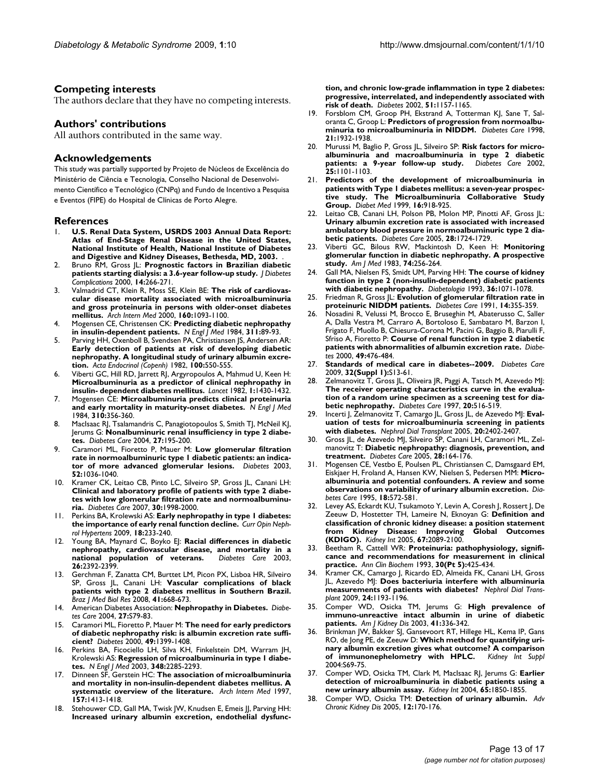#### **Competing interests**

The authors declare that they have no competing interests.

#### **Authors' contributions**

All authors contributed in the same way.

#### **Acknowledgements**

This study was partially supported by Projeto de Núcleos de Excelência do Ministério de Ciência e Tecnologia, Conselho Nacional de Desenvolvimento Científico e Tecnológico (CNPq) and Fundo de Incentivo a Pesquisa e Eventos (FIPE) do Hospital de Clínicas de Porto Alegre.

#### **References**

- 1. **U.S. Renal Data System, USRDS 2003 Annual Data Report: Atlas of End-Stage Renal Disease in the United States, National Institute of Health, National Institute of Diabetes and Digestive and Kidney Diseases, Bethesda, MD, 2003.** .
- 2. Bruno RM, Gross JL: **[Prognostic factors in Brazilian diabetic](http://www.ncbi.nlm.nih.gov/entrez/query.fcgi?cmd=Retrieve&db=PubMed&dopt=Abstract&list_uids=11113689) [patients starting dialysis: a 3.6-year follow-up study.](http://www.ncbi.nlm.nih.gov/entrez/query.fcgi?cmd=Retrieve&db=PubMed&dopt=Abstract&list_uids=11113689)** *J Diabetes Complications* 2000, **14:**266-271.
- 3. Valmadrid CT, Klein R, Moss SE, Klein BE: **[The risk of cardiovas](http://www.ncbi.nlm.nih.gov/entrez/query.fcgi?cmd=Retrieve&db=PubMed&dopt=Abstract&list_uids=10789601)[cular disease mortality associated with microalbuminuria](http://www.ncbi.nlm.nih.gov/entrez/query.fcgi?cmd=Retrieve&db=PubMed&dopt=Abstract&list_uids=10789601) and gross proteinuria in persons with older-onset diabetes [mellitus.](http://www.ncbi.nlm.nih.gov/entrez/query.fcgi?cmd=Retrieve&db=PubMed&dopt=Abstract&list_uids=10789601)** *Arch Intern Med* 2000, **160:**1093-1100.
- 4. Mogensen CE, Christensen CK: **[Predicting diabetic nephropathy](http://www.ncbi.nlm.nih.gov/entrez/query.fcgi?cmd=Retrieve&db=PubMed&dopt=Abstract&list_uids=6738599) [in insulin-dependent patients.](http://www.ncbi.nlm.nih.gov/entrez/query.fcgi?cmd=Retrieve&db=PubMed&dopt=Abstract&list_uids=6738599)** *N Engl J Med* 1984, **311:**89-93.
- 5. Parving HH, Oxenboll B, Svendsen PA, Christiansen JS, Andersen AR: **[Early detection of patients at risk of developing diabetic](http://www.ncbi.nlm.nih.gov/entrez/query.fcgi?cmd=Retrieve&db=PubMed&dopt=Abstract&list_uids=6812342) nephropathy. A longitudinal study of urinary albumin excre[tion.](http://www.ncbi.nlm.nih.gov/entrez/query.fcgi?cmd=Retrieve&db=PubMed&dopt=Abstract&list_uids=6812342)** *Acta Endocrinol (Copenh)* 1982, **100:**550-555.
- 6. Viberti GC, Hill RD, Jarrett RJ, Argyropoulos A, Mahmud U, Keen H: **[Microalbuminuria as a predictor of clinical nephropathy in](http://www.ncbi.nlm.nih.gov/entrez/query.fcgi?cmd=Retrieve&db=PubMed&dopt=Abstract&list_uids=6123720) [insulin- dependent diabetes mellitus.](http://www.ncbi.nlm.nih.gov/entrez/query.fcgi?cmd=Retrieve&db=PubMed&dopt=Abstract&list_uids=6123720)** *Lancet* 1982, **1:**1430-1432.
- 7. Mogensen CE: **[Microalbuminuria predicts clinical proteinuria](http://www.ncbi.nlm.nih.gov/entrez/query.fcgi?cmd=Retrieve&db=PubMed&dopt=Abstract&list_uids=6690964) [and early mortality in maturity-onset diabetes.](http://www.ncbi.nlm.nih.gov/entrez/query.fcgi?cmd=Retrieve&db=PubMed&dopt=Abstract&list_uids=6690964)** *N Engl J Med* 1984, **310:**356-360.
- 8. MacIsaac RJ, Tsalamandris C, Panagiotopoulos S, Smith TJ, McNeil KJ, Jerums G: **[Nonalbuminuric renal insufficiency in type 2 diabe](http://www.ncbi.nlm.nih.gov/entrez/query.fcgi?cmd=Retrieve&db=PubMed&dopt=Abstract&list_uids=14693989)[tes.](http://www.ncbi.nlm.nih.gov/entrez/query.fcgi?cmd=Retrieve&db=PubMed&dopt=Abstract&list_uids=14693989)** *Diabetes Care* 2004, **27:**195-200.
- 9. Caramori ML, Fioretto P, Mauer M: **[Low glomerular filtration](http://www.ncbi.nlm.nih.gov/entrez/query.fcgi?cmd=Retrieve&db=PubMed&dopt=Abstract&list_uids=12663477) [rate in normoalbuminuric type 1 diabetic patients: an indica](http://www.ncbi.nlm.nih.gov/entrez/query.fcgi?cmd=Retrieve&db=PubMed&dopt=Abstract&list_uids=12663477)[tor of more advanced glomerular lesions.](http://www.ncbi.nlm.nih.gov/entrez/query.fcgi?cmd=Retrieve&db=PubMed&dopt=Abstract&list_uids=12663477)** *Diabetes* 2003, **52:**1036-1040.
- 10. Kramer CK, Leitao CB, Pinto LC, Silveiro SP, Gross JL, Canani LH: **[Clinical and laboratory profile of patients with type 2 diabe](http://www.ncbi.nlm.nih.gov/entrez/query.fcgi?cmd=Retrieve&db=PubMed&dopt=Abstract&list_uids=17468344)tes with low glomerular filtration rate and normoalbuminu[ria.](http://www.ncbi.nlm.nih.gov/entrez/query.fcgi?cmd=Retrieve&db=PubMed&dopt=Abstract&list_uids=17468344)** *Diabetes Care* 2007, **30:**1998-2000.
- 11. Perkins BA, Krolewski AS: **[Early nephropathy in type 1 diabetes:](http://www.ncbi.nlm.nih.gov/entrez/query.fcgi?cmd=Retrieve&db=PubMed&dopt=Abstract&list_uids=19300247) [the importance of early renal function decline.](http://www.ncbi.nlm.nih.gov/entrez/query.fcgi?cmd=Retrieve&db=PubMed&dopt=Abstract&list_uids=19300247)** *Curr Opin Nephrol Hypertens* 2009, **18:**233-240.
- 12. Young BA, Maynard C, Boyko EJ: **[Racial differences in diabetic](http://www.ncbi.nlm.nih.gov/entrez/query.fcgi?cmd=Retrieve&db=PubMed&dopt=Abstract&list_uids=12882868) [nephropathy, cardiovascular disease, and mortality in a](http://www.ncbi.nlm.nih.gov/entrez/query.fcgi?cmd=Retrieve&db=PubMed&dopt=Abstract&list_uids=12882868)** [national population of veterans.](http://www.ncbi.nlm.nih.gov/entrez/query.fcgi?cmd=Retrieve&db=PubMed&dopt=Abstract&list_uids=12882868) **26:**2392-2399.
- 13. Gerchman F, Zanatta CM, Burttet LM, Picon PX, Lisboa HR, Silveiro SP, Gross JL, Canani LH: **[Vascular complications of black](http://www.ncbi.nlm.nih.gov/entrez/query.fcgi?cmd=Retrieve&db=PubMed&dopt=Abstract&list_uids=18797699) [patients with type 2 diabetes mellitus in Southern Brazil.](http://www.ncbi.nlm.nih.gov/entrez/query.fcgi?cmd=Retrieve&db=PubMed&dopt=Abstract&list_uids=18797699)** *Braz J Med Biol Res* 2008, **41:**668-673.
- 14. American Diabetes Association: **[Nephropathy in Diabetes.](http://www.ncbi.nlm.nih.gov/entrez/query.fcgi?cmd=Retrieve&db=PubMed&dopt=Abstract&list_uids=14693934)** *Diabetes Care* 2004, **27:**S79-83.
- 15. Caramori ML, Fioretto P, Mauer M: **[The need for early predictors](http://www.ncbi.nlm.nih.gov/entrez/query.fcgi?cmd=Retrieve&db=PubMed&dopt=Abstract&list_uids=10969821) [of diabetic nephropathy risk: is albumin excretion rate suffi](http://www.ncbi.nlm.nih.gov/entrez/query.fcgi?cmd=Retrieve&db=PubMed&dopt=Abstract&list_uids=10969821)[cient?](http://www.ncbi.nlm.nih.gov/entrez/query.fcgi?cmd=Retrieve&db=PubMed&dopt=Abstract&list_uids=10969821)** *Diabetes* 2000, **49:**1399-1408.
- 16. Perkins BA, Ficociello LH, Silva KH, Finkelstein DM, Warram JH, Krolewski AS: **[Regression of microalbuminuria in type 1 diabe](http://www.ncbi.nlm.nih.gov/entrez/query.fcgi?cmd=Retrieve&db=PubMed&dopt=Abstract&list_uids=12788992)[tes.](http://www.ncbi.nlm.nih.gov/entrez/query.fcgi?cmd=Retrieve&db=PubMed&dopt=Abstract&list_uids=12788992)** *N Engl J Med* 2003, **348:**2285-2293.
- 17. Dinneen SF, Gerstein HC: **[The association of microalbuminuria](http://www.ncbi.nlm.nih.gov/entrez/query.fcgi?cmd=Retrieve&db=PubMed&dopt=Abstract&list_uids=9224218) [and mortality in non-insulin-dependent diabetes mellitus. A](http://www.ncbi.nlm.nih.gov/entrez/query.fcgi?cmd=Retrieve&db=PubMed&dopt=Abstract&list_uids=9224218) [systematic overview of the literature.](http://www.ncbi.nlm.nih.gov/entrez/query.fcgi?cmd=Retrieve&db=PubMed&dopt=Abstract&list_uids=9224218)** *Arch Intern Med* 1997, **157:**1413-1418.
- Stehouwer CD, Gall MA, Twisk JW, Knudsen E, Emeis JJ, Parving HH: **[Increased urinary albumin excretion, endothelial dysfunc-](http://www.ncbi.nlm.nih.gov/entrez/query.fcgi?cmd=Retrieve&db=PubMed&dopt=Abstract&list_uids=11916939)**

**[tion, and chronic low-grade inflammation in type 2 diabetes:](http://www.ncbi.nlm.nih.gov/entrez/query.fcgi?cmd=Retrieve&db=PubMed&dopt=Abstract&list_uids=11916939) progressive, interrelated, and independently associated with [risk of death.](http://www.ncbi.nlm.nih.gov/entrez/query.fcgi?cmd=Retrieve&db=PubMed&dopt=Abstract&list_uids=11916939)** *Diabetes* 2002, **51:**1157-1165.

- 19. Forsblom CM, Groop PH, Ekstrand A, Totterman KJ, Sane T, Saloranta C, Groop L: **[Predictors of progression from normoalbu](http://www.ncbi.nlm.nih.gov/entrez/query.fcgi?cmd=Retrieve&db=PubMed&dopt=Abstract&list_uids=9802746)[minuria to microalbuminuria in NIDDM.](http://www.ncbi.nlm.nih.gov/entrez/query.fcgi?cmd=Retrieve&db=PubMed&dopt=Abstract&list_uids=9802746)** *Diabetes Care* 1998, **21:**1932-1938.
- 20. Murussi M, Baglio P, Gross JL, Silveiro SP: **[Risk factors for micro](http://www.ncbi.nlm.nih.gov/entrez/query.fcgi?cmd=Retrieve&db=PubMed&dopt=Abstract&list_uids=12032128)[albuminuria and macroalbuminuria in type 2 diabetic](http://www.ncbi.nlm.nih.gov/entrez/query.fcgi?cmd=Retrieve&db=PubMed&dopt=Abstract&list_uids=12032128) [patients: a 9-year follow-up study.](http://www.ncbi.nlm.nih.gov/entrez/query.fcgi?cmd=Retrieve&db=PubMed&dopt=Abstract&list_uids=12032128)** *Diabetes Care* 2002, **25:**1101-1103.
- 21. **[Predictors of the development of microalbuminuria in](http://www.ncbi.nlm.nih.gov/entrez/query.fcgi?cmd=Retrieve&db=PubMed&dopt=Abstract&list_uids=10588521) [patients with Type 1 diabetes mellitus: a seven-year prospec](http://www.ncbi.nlm.nih.gov/entrez/query.fcgi?cmd=Retrieve&db=PubMed&dopt=Abstract&list_uids=10588521)tive study. The Microalbuminuria Collaborative Study [Group.](http://www.ncbi.nlm.nih.gov/entrez/query.fcgi?cmd=Retrieve&db=PubMed&dopt=Abstract&list_uids=10588521)** *Diabet Med* 1999, **16:**918-925.
- 22. Leitao CB, Canani LH, Polson PB, Molon MP, Pinotti AF, Gross JL: **[Urinary albumin excretion rate is associated with increased](http://www.ncbi.nlm.nih.gov/entrez/query.fcgi?cmd=Retrieve&db=PubMed&dopt=Abstract&list_uids=15983326) ambulatory blood pressure in normoalbuminuric type 2 dia[betic patients.](http://www.ncbi.nlm.nih.gov/entrez/query.fcgi?cmd=Retrieve&db=PubMed&dopt=Abstract&list_uids=15983326)** *Diabetes Care* 2005, **28:**1724-1729.
- 23. Viberti GC, Bilous RW, Mackintosh D, Keen H: **[Monitoring](http://www.ncbi.nlm.nih.gov/entrez/query.fcgi?cmd=Retrieve&db=PubMed&dopt=Abstract&list_uids=6401924) [glomerular function in diabetic nephropathy. A prospective](http://www.ncbi.nlm.nih.gov/entrez/query.fcgi?cmd=Retrieve&db=PubMed&dopt=Abstract&list_uids=6401924) [study.](http://www.ncbi.nlm.nih.gov/entrez/query.fcgi?cmd=Retrieve&db=PubMed&dopt=Abstract&list_uids=6401924)** *Am J Med* 1983, **74:**256-264.
- 24. Gall MA, Nielsen FS, Smidt UM, Parving HH: **[The course of kidney](http://www.ncbi.nlm.nih.gov/entrez/query.fcgi?cmd=Retrieve&db=PubMed&dopt=Abstract&list_uids=8243857) [function in type 2 \(non-insulin-dependent\) diabetic patients](http://www.ncbi.nlm.nih.gov/entrez/query.fcgi?cmd=Retrieve&db=PubMed&dopt=Abstract&list_uids=8243857) [with diabetic nephropathy.](http://www.ncbi.nlm.nih.gov/entrez/query.fcgi?cmd=Retrieve&db=PubMed&dopt=Abstract&list_uids=8243857)** *Diabetologia* 1993, **36:**1071-1078.
- 25. Friedman R, Gross JL: **[Evolution of glomerular filtration rate in](http://www.ncbi.nlm.nih.gov/entrez/query.fcgi?cmd=Retrieve&db=PubMed&dopt=Abstract&list_uids=2060446) [proteinuric NIDDM patients.](http://www.ncbi.nlm.nih.gov/entrez/query.fcgi?cmd=Retrieve&db=PubMed&dopt=Abstract&list_uids=2060446)** *Diabetes Care* 1991, **14:**355-359.
- 26. Nosadini R, Velussi M, Brocco E, Bruseghin M, Abaterusso C, Saller A, Dalla Vestra M, Carraro A, Bortoloso E, Sambataro M, Barzon I, Frigato F, Muollo B, Chiesura-Corona M, Pacini G, Baggio B, Piarulli F, Sfriso A, Fioretto P: **[Course of renal function in type 2 diabetic](http://www.ncbi.nlm.nih.gov/entrez/query.fcgi?cmd=Retrieve&db=PubMed&dopt=Abstract&list_uids=10868971) [patients with abnormalities of albumin excretion rate.](http://www.ncbi.nlm.nih.gov/entrez/query.fcgi?cmd=Retrieve&db=PubMed&dopt=Abstract&list_uids=10868971)** *Diabetes* 2000, **49:**476-484.
- <span id="page-12-0"></span>27. **[Standards of medical care in diabetes--2009.](http://www.ncbi.nlm.nih.gov/entrez/query.fcgi?cmd=Retrieve&db=PubMed&dopt=Abstract&list_uids=19118286)** *Diabetes Care* 2009, **32(Suppl 1):**S13-61.
- 28. Zelmanovitz T, Gross JL, Oliveira JR, Paggi A, Tatsch M, Azevedo MJ: **[The receiver operating characteristics curve in the evalua](http://www.ncbi.nlm.nih.gov/entrez/query.fcgi?cmd=Retrieve&db=PubMed&dopt=Abstract&list_uids=9096972)tion of a random urine specimen as a screening test for dia[betic nephropathy.](http://www.ncbi.nlm.nih.gov/entrez/query.fcgi?cmd=Retrieve&db=PubMed&dopt=Abstract&list_uids=9096972)** *Diabetes Care* 1997, **20:**516-519.
- 29. Incerti J, Zelmanovitz T, Camargo JL, Gross JL, de Azevedo MJ: **[Eval](http://www.ncbi.nlm.nih.gov/entrez/query.fcgi?cmd=Retrieve&db=PubMed&dopt=Abstract&list_uids=16105865)[uation of tests for microalbuminuria screening in patients](http://www.ncbi.nlm.nih.gov/entrez/query.fcgi?cmd=Retrieve&db=PubMed&dopt=Abstract&list_uids=16105865) [with diabetes.](http://www.ncbi.nlm.nih.gov/entrez/query.fcgi?cmd=Retrieve&db=PubMed&dopt=Abstract&list_uids=16105865)** *Nephrol Dial Transplant* 2005, **20:**2402-2407.
- 30. Gross JL, de Azevedo MJ, Silveiro SP, Canani LH, Caramori ML, Zelmanovitz T: **[Diabetic nephropathy: diagnosis, prevention, and](http://www.ncbi.nlm.nih.gov/entrez/query.fcgi?cmd=Retrieve&db=PubMed&dopt=Abstract&list_uids=15616252) [treatment.](http://www.ncbi.nlm.nih.gov/entrez/query.fcgi?cmd=Retrieve&db=PubMed&dopt=Abstract&list_uids=15616252)** *Diabetes Care* 2005, **28:**164-176.
- 31. Mogensen CE, Vestbo E, Poulsen PL, Christiansen C, Damsgaard EM, Eiskjaer H, Froland A, Hansen KW, Nielsen S, Pedersen MM: **[Micro](http://www.ncbi.nlm.nih.gov/entrez/query.fcgi?cmd=Retrieve&db=PubMed&dopt=Abstract&list_uids=7497874)[albuminuria and potential confounders. A review and some](http://www.ncbi.nlm.nih.gov/entrez/query.fcgi?cmd=Retrieve&db=PubMed&dopt=Abstract&list_uids=7497874) [observations on variability of urinary albumin excretion.](http://www.ncbi.nlm.nih.gov/entrez/query.fcgi?cmd=Retrieve&db=PubMed&dopt=Abstract&list_uids=7497874)** *Diabetes Care* 1995, **18:**572-581.
- 32. Levey AS, Eckardt KU, Tsukamoto Y, Levin A, Coresh J, Rossert J, De Zeeuw D, Hostetter TH, Lameire N, Eknoyan G: **[Definition and](http://www.ncbi.nlm.nih.gov/entrez/query.fcgi?cmd=Retrieve&db=PubMed&dopt=Abstract&list_uids=15882252) [classification of chronic kidney disease: a position statement](http://www.ncbi.nlm.nih.gov/entrez/query.fcgi?cmd=Retrieve&db=PubMed&dopt=Abstract&list_uids=15882252) from Kidney Disease: Improving Global Outcomes [\(KDIGO\).](http://www.ncbi.nlm.nih.gov/entrez/query.fcgi?cmd=Retrieve&db=PubMed&dopt=Abstract&list_uids=15882252)** *Kidney Int* 2005, **67:**2089-2100.
- 33. Beetham R, Cattell WR: **[Proteinuria: pathophysiology, signifi](http://www.ncbi.nlm.nih.gov/entrez/query.fcgi?cmd=Retrieve&db=PubMed&dopt=Abstract&list_uids=8250494)[cance and recommendations for measurement in clinical](http://www.ncbi.nlm.nih.gov/entrez/query.fcgi?cmd=Retrieve&db=PubMed&dopt=Abstract&list_uids=8250494) [practice.](http://www.ncbi.nlm.nih.gov/entrez/query.fcgi?cmd=Retrieve&db=PubMed&dopt=Abstract&list_uids=8250494)** *Ann Clin Biochem* 1993, **30(Pt 5):**425-434.
- 34. Kramer CK, Camargo J, Ricardo ED, Almeida FK, Canani LH, Gross JL, Azevedo MJ: **[Does bacteriuria interfere with albuminuria](http://www.ncbi.nlm.nih.gov/entrez/query.fcgi?cmd=Retrieve&db=PubMed&dopt=Abstract&list_uids=19015170) [measurements of patients with diabetes?](http://www.ncbi.nlm.nih.gov/entrez/query.fcgi?cmd=Retrieve&db=PubMed&dopt=Abstract&list_uids=19015170)** *Nephrol Dial Transplant* 2009, **24:**1193-1196.
- 35. Comper WD, Osicka TM, Jerums G: **[High prevalence of](http://www.ncbi.nlm.nih.gov/entrez/query.fcgi?cmd=Retrieve&db=PubMed&dopt=Abstract&list_uids=12552494) [immuno-unreactive intact albumin in urine of diabetic](http://www.ncbi.nlm.nih.gov/entrez/query.fcgi?cmd=Retrieve&db=PubMed&dopt=Abstract&list_uids=12552494) [patients.](http://www.ncbi.nlm.nih.gov/entrez/query.fcgi?cmd=Retrieve&db=PubMed&dopt=Abstract&list_uids=12552494)** *Am J Kidney Dis* 2003, **41:**336-342.
- 36. Brinkman JW, Bakker SJ, Gansevoort RT, Hillege HL, Kema IP, Gans RO, de Jong PE, de Zeeuw D: **[Which method for quantifying uri](http://www.ncbi.nlm.nih.gov/entrez/query.fcgi?cmd=Retrieve&db=PubMed&dopt=Abstract&list_uids=15485424)[nary albumin excretion gives what outcome? A comparison](http://www.ncbi.nlm.nih.gov/entrez/query.fcgi?cmd=Retrieve&db=PubMed&dopt=Abstract&list_uids=15485424) [of immunonephelometry with HPLC.](http://www.ncbi.nlm.nih.gov/entrez/query.fcgi?cmd=Retrieve&db=PubMed&dopt=Abstract&list_uids=15485424)** *Kidney Int Suppl* 2004:S69-75.
- 37. Comper WD, Osicka TM, Clark M, MacIsaac RJ, Jerums G: **[Earlier](http://www.ncbi.nlm.nih.gov/entrez/query.fcgi?cmd=Retrieve&db=PubMed&dopt=Abstract&list_uids=15086926) [detection of microalbuminuria in diabetic patients using a](http://www.ncbi.nlm.nih.gov/entrez/query.fcgi?cmd=Retrieve&db=PubMed&dopt=Abstract&list_uids=15086926) [new urinary albumin assay.](http://www.ncbi.nlm.nih.gov/entrez/query.fcgi?cmd=Retrieve&db=PubMed&dopt=Abstract&list_uids=15086926)** *Kidney Int* 2004, **65:**1850-1855.
- 38. Comper WD, Osicka TM: **[Detection of urinary albumin.](http://www.ncbi.nlm.nih.gov/entrez/query.fcgi?cmd=Retrieve&db=PubMed&dopt=Abstract&list_uids=15822052)** *Adv Chronic Kidney Dis* 2005, **12:**170-176.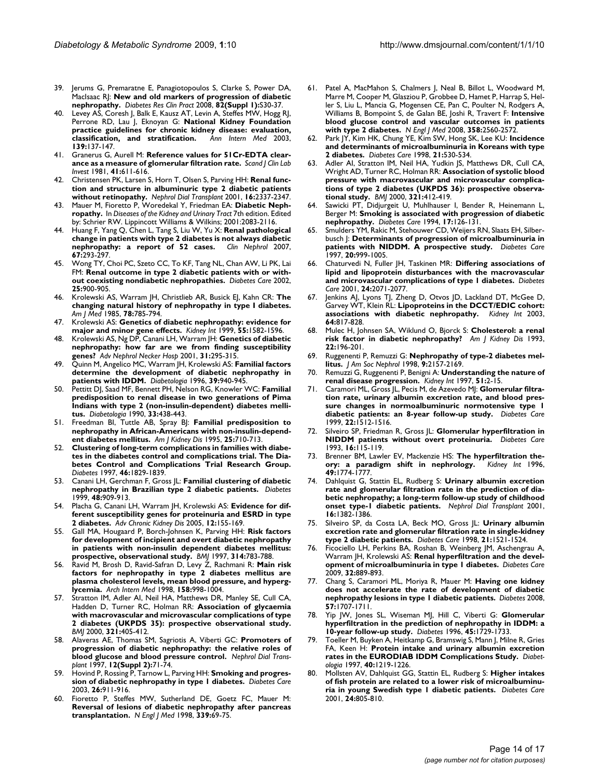- 39. Jerums G, Premaratne E, Panagiotopoulos S, Clarke S, Power DA, MacIsaac RJ: **[New and old markers of progression of diabetic](http://www.ncbi.nlm.nih.gov/entrez/query.fcgi?cmd=Retrieve&db=PubMed&dopt=Abstract&list_uids=18937992) [nephropathy.](http://www.ncbi.nlm.nih.gov/entrez/query.fcgi?cmd=Retrieve&db=PubMed&dopt=Abstract&list_uids=18937992)** *Diabetes Res Clin Pract* 2008, **82(Suppl 1):**S30-37.
- 40. Levey AS, Coresh J, Balk E, Kausz AT, Levin A, Steffes MW, Hogg RJ, Perrone RD, Lau J, Eknoyan G: **[National Kidney Foundation](http://www.ncbi.nlm.nih.gov/entrez/query.fcgi?cmd=Retrieve&db=PubMed&dopt=Abstract&list_uids=12859163) [practice guidelines for chronic kidney disease: evaluation,](http://www.ncbi.nlm.nih.gov/entrez/query.fcgi?cmd=Retrieve&db=PubMed&dopt=Abstract&list_uids=12859163) [classification, and stratification.](http://www.ncbi.nlm.nih.gov/entrez/query.fcgi?cmd=Retrieve&db=PubMed&dopt=Abstract&list_uids=12859163)** *Ann Intern Med* 2003, **139:**137-147.
- 41. Granerus G, Aurell M: **[Reference values for 51Cr-EDTA clear](http://www.ncbi.nlm.nih.gov/entrez/query.fcgi?cmd=Retrieve&db=PubMed&dopt=Abstract&list_uids=6801756)[ance as a measure of glomerular filtration rate.](http://www.ncbi.nlm.nih.gov/entrez/query.fcgi?cmd=Retrieve&db=PubMed&dopt=Abstract&list_uids=6801756)** *Scand J Clin Lab Invest* 1981, **41:**611-616.
- 42. Christensen PK, Larsen S, Horn T, Olsen S, Parving HH: **[Renal func](http://www.ncbi.nlm.nih.gov/entrez/query.fcgi?cmd=Retrieve&db=PubMed&dopt=Abstract&list_uids=11733625)[tion and structure in albuminuric type 2 diabetic patients](http://www.ncbi.nlm.nih.gov/entrez/query.fcgi?cmd=Retrieve&db=PubMed&dopt=Abstract&list_uids=11733625) [without retinopathy.](http://www.ncbi.nlm.nih.gov/entrez/query.fcgi?cmd=Retrieve&db=PubMed&dopt=Abstract&list_uids=11733625)** *Nephrol Dial Transplant* 2001, **16:**2337-2347.
- 43. Mauer M, Fioretto P, Woredekal Y, Friedman EA: **Diabetic Nephropathy.** In *Diseases of the Kidney and Urinary Tract* 7th edition. Edited by: Schrier RW. Lippincott Williams & Wilkins; 2001:2083-2116.
- 44. Huang F, Yang Q, Chen L, Tang S, Liu W, Yu X: **[Renal pathological](http://www.ncbi.nlm.nih.gov/entrez/query.fcgi?cmd=Retrieve&db=PubMed&dopt=Abstract&list_uids=17542338) [change in patients with type 2 diabetes is not always diabetic](http://www.ncbi.nlm.nih.gov/entrez/query.fcgi?cmd=Retrieve&db=PubMed&dopt=Abstract&list_uids=17542338) [nephropathy: a report of 52 cases.](http://www.ncbi.nlm.nih.gov/entrez/query.fcgi?cmd=Retrieve&db=PubMed&dopt=Abstract&list_uids=17542338)** *Clin Nephrol* 2007, **67:**293-297.
- Wong TY, Choi PC, Szeto CC, To KF, Tang NL, Chan AW, Li PK, Lai FM: **[Renal outcome in type 2 diabetic patients with or with](http://www.ncbi.nlm.nih.gov/entrez/query.fcgi?cmd=Retrieve&db=PubMed&dopt=Abstract&list_uids=11978688)[out coexisting nondiabetic nephropathies.](http://www.ncbi.nlm.nih.gov/entrez/query.fcgi?cmd=Retrieve&db=PubMed&dopt=Abstract&list_uids=11978688)** *Diabetes Care* 2002, **25:**900-905.
- 46. Krolewski AS, Warram JH, Christlieb AR, Busick EJ, Kahn CR: **[The](http://www.ncbi.nlm.nih.gov/entrez/query.fcgi?cmd=Retrieve&db=PubMed&dopt=Abstract&list_uids=3993659) [changing natural history of nephropathy in type I diabetes.](http://www.ncbi.nlm.nih.gov/entrez/query.fcgi?cmd=Retrieve&db=PubMed&dopt=Abstract&list_uids=3993659)** *Am J Med* 1985, **78:**785-794.
- 47. Krolewski AS: **[Genetics of diabetic nephropathy: evidence for](http://www.ncbi.nlm.nih.gov/entrez/query.fcgi?cmd=Retrieve&db=PubMed&dopt=Abstract&list_uids=10201028) [major and minor gene effects.](http://www.ncbi.nlm.nih.gov/entrez/query.fcgi?cmd=Retrieve&db=PubMed&dopt=Abstract&list_uids=10201028)** *Kidney Int* 1999, **55:**1582-1596.
- 48. Krolewski AS, Ng DP, Canani LH, Warram JH: **[Genetics of diabetic](http://www.ncbi.nlm.nih.gov/entrez/query.fcgi?cmd=Retrieve&db=PubMed&dopt=Abstract&list_uids=11692468) [nephropathy: how far are we from finding susceptibility](http://www.ncbi.nlm.nih.gov/entrez/query.fcgi?cmd=Retrieve&db=PubMed&dopt=Abstract&list_uids=11692468) [genes?](http://www.ncbi.nlm.nih.gov/entrez/query.fcgi?cmd=Retrieve&db=PubMed&dopt=Abstract&list_uids=11692468)** *Adv Nephrol Necker Hosp* 2001, **31:**295-315.
- 49. Quinn M, Angelico MC, Warram JH, Krolewski AS: **[Familial factors](http://www.ncbi.nlm.nih.gov/entrez/query.fcgi?cmd=Retrieve&db=PubMed&dopt=Abstract&list_uids=8858216) [determine the development of diabetic nephropathy in](http://www.ncbi.nlm.nih.gov/entrez/query.fcgi?cmd=Retrieve&db=PubMed&dopt=Abstract&list_uids=8858216) [patients with IDDM.](http://www.ncbi.nlm.nih.gov/entrez/query.fcgi?cmd=Retrieve&db=PubMed&dopt=Abstract&list_uids=8858216)** *Diabetologia* 1996, **39:**940-945.
- 50. Pettitt DJ, Saad MF, Bennett PH, Nelson RG, Knowler WC: **[Familial](http://www.ncbi.nlm.nih.gov/entrez/query.fcgi?cmd=Retrieve&db=PubMed&dopt=Abstract&list_uids=2401399) [predisposition to renal disease in two generations of Pima](http://www.ncbi.nlm.nih.gov/entrez/query.fcgi?cmd=Retrieve&db=PubMed&dopt=Abstract&list_uids=2401399) Indians with type 2 (non-insulin-dependent) diabetes melli[tus.](http://www.ncbi.nlm.nih.gov/entrez/query.fcgi?cmd=Retrieve&db=PubMed&dopt=Abstract&list_uids=2401399)** *Diabetologia* 1990, **33:**438-443.
- 51. Freedman BI, Tuttle AB, Spray BJ: **[Familial predisposition to](http://www.ncbi.nlm.nih.gov/entrez/query.fcgi?cmd=Retrieve&db=PubMed&dopt=Abstract&list_uids=7747724) [nephropathy in African-Americans with non-insulin-depend](http://www.ncbi.nlm.nih.gov/entrez/query.fcgi?cmd=Retrieve&db=PubMed&dopt=Abstract&list_uids=7747724)[ent diabetes mellitus.](http://www.ncbi.nlm.nih.gov/entrez/query.fcgi?cmd=Retrieve&db=PubMed&dopt=Abstract&list_uids=7747724)** *Am J Kidney Dis* 1995, **25:**710-713.
- 52. **[Clustering of long-term complications in families with diabe](http://www.ncbi.nlm.nih.gov/entrez/query.fcgi?cmd=Retrieve&db=PubMed&dopt=Abstract&list_uids=9356033)[tes in the diabetes control and complications trial. The Dia](http://www.ncbi.nlm.nih.gov/entrez/query.fcgi?cmd=Retrieve&db=PubMed&dopt=Abstract&list_uids=9356033)betes Control and Complications Trial Research Group.** *Diabetes* 1997, **46:**1829-1839.
- 53. Canani LH, Gerchman F, Gross JL: **[Familial clustering of diabetic](http://www.ncbi.nlm.nih.gov/entrez/query.fcgi?cmd=Retrieve&db=PubMed&dopt=Abstract&list_uids=10102711) [nephropathy in Brazilian type 2 diabetic patients.](http://www.ncbi.nlm.nih.gov/entrez/query.fcgi?cmd=Retrieve&db=PubMed&dopt=Abstract&list_uids=10102711)** *Diabetes* 1999, **48:**909-913.
- 54. Placha G, Canani LH, Warram JH, Krolewski AS: **[Evidence for dif](http://www.ncbi.nlm.nih.gov/entrez/query.fcgi?cmd=Retrieve&db=PubMed&dopt=Abstract&list_uids=15822051)[ferent susceptibility genes for proteinuria and ESRD in type](http://www.ncbi.nlm.nih.gov/entrez/query.fcgi?cmd=Retrieve&db=PubMed&dopt=Abstract&list_uids=15822051) [2 diabetes.](http://www.ncbi.nlm.nih.gov/entrez/query.fcgi?cmd=Retrieve&db=PubMed&dopt=Abstract&list_uids=15822051)** *Adv Chronic Kidney Dis* 2005, **12:**155-169.
- 55. Gall MA, Hougaard P, Borch-Johnsen K, Parving HH: **[Risk factors](http://www.ncbi.nlm.nih.gov/entrez/query.fcgi?cmd=Retrieve&db=PubMed&dopt=Abstract&list_uids=9080995) [for development of incipient and overt diabetic nephropathy](http://www.ncbi.nlm.nih.gov/entrez/query.fcgi?cmd=Retrieve&db=PubMed&dopt=Abstract&list_uids=9080995) in patients with non-insulin dependent diabetes mellitus: [prospective, observational study.](http://www.ncbi.nlm.nih.gov/entrez/query.fcgi?cmd=Retrieve&db=PubMed&dopt=Abstract&list_uids=9080995)** *BMJ* 1997, **314:**783-788.
- 56. Ravid M, Brosh D, Ravid-Safran D, Levy Z, Rachmani R: **[Main risk](http://www.ncbi.nlm.nih.gov/entrez/query.fcgi?cmd=Retrieve&db=PubMed&dopt=Abstract&list_uids=9588433) [factors for nephropathy in type 2 diabetes mellitus are](http://www.ncbi.nlm.nih.gov/entrez/query.fcgi?cmd=Retrieve&db=PubMed&dopt=Abstract&list_uids=9588433) plasma cholesterol levels, mean blood pressure, and hyperg[lycemia.](http://www.ncbi.nlm.nih.gov/entrez/query.fcgi?cmd=Retrieve&db=PubMed&dopt=Abstract&list_uids=9588433)** *Arch Intern Med* 1998, **158:**998-1004.
- 57. Stratton IM, Adler AI, Neil HA, Matthews DR, Manley SE, Cull CA, Hadden D, Turner RC, Holman RR: **[Association of glycaemia](http://www.ncbi.nlm.nih.gov/entrez/query.fcgi?cmd=Retrieve&db=PubMed&dopt=Abstract&list_uids=10938048) [with macrovascular and microvascular complications of type](http://www.ncbi.nlm.nih.gov/entrez/query.fcgi?cmd=Retrieve&db=PubMed&dopt=Abstract&list_uids=10938048) 2 diabetes (UKPDS 35): prospective observational study.** *BMJ* 2000, **321:**405-412.
- 58. Alaveras AE, Thomas SM, Sagriotis A, Viberti GC: **[Promoters of](http://www.ncbi.nlm.nih.gov/entrez/query.fcgi?cmd=Retrieve&db=PubMed&dopt=Abstract&list_uids=9269705) [progression of diabetic nephropathy: the relative roles of](http://www.ncbi.nlm.nih.gov/entrez/query.fcgi?cmd=Retrieve&db=PubMed&dopt=Abstract&list_uids=9269705) [blood glucose and blood pressure control.](http://www.ncbi.nlm.nih.gov/entrez/query.fcgi?cmd=Retrieve&db=PubMed&dopt=Abstract&list_uids=9269705)** *Nephrol Dial Transplant* 1997, **12(Suppl 2):**71-74.
- 59. Hovind P, Rossing P, Tarnow L, Parving HH: **[Smoking and progres](http://www.ncbi.nlm.nih.gov/entrez/query.fcgi?cmd=Retrieve&db=PubMed&dopt=Abstract&list_uids=12610058)[sion of diabetic nephropathy in type 1 diabetes.](http://www.ncbi.nlm.nih.gov/entrez/query.fcgi?cmd=Retrieve&db=PubMed&dopt=Abstract&list_uids=12610058)** *Diabetes Care* 2003, **26:**911-916.
- 60. Fioretto P, Steffes MW, Sutherland DE, Goetz FC, Mauer M: **[Reversal of lesions of diabetic nephropathy after pancreas](http://www.ncbi.nlm.nih.gov/entrez/query.fcgi?cmd=Retrieve&db=PubMed&dopt=Abstract&list_uids=9654536) [transplantation.](http://www.ncbi.nlm.nih.gov/entrez/query.fcgi?cmd=Retrieve&db=PubMed&dopt=Abstract&list_uids=9654536)** *N Engl J Med* 1998, **339:**69-75.
- 61. Patel A, MacMahon S, Chalmers J, Neal B, Billot L, Woodward M, Marre M, Cooper M, Glasziou P, Grobbee D, Hamet P, Harrap S, Heller S, Liu L, Mancia G, Mogensen CE, Pan C, Poulter N, Rodgers A, Williams B, Bompoint S, de Galan BE, Joshi R, Travert F: **[Intensive](http://www.ncbi.nlm.nih.gov/entrez/query.fcgi?cmd=Retrieve&db=PubMed&dopt=Abstract&list_uids=18539916) [blood glucose control and vascular outcomes in patients](http://www.ncbi.nlm.nih.gov/entrez/query.fcgi?cmd=Retrieve&db=PubMed&dopt=Abstract&list_uids=18539916) [with type 2 diabetes.](http://www.ncbi.nlm.nih.gov/entrez/query.fcgi?cmd=Retrieve&db=PubMed&dopt=Abstract&list_uids=18539916)** *N Engl J Med* 2008, **358:**2560-2572.
- 62. Park JY, Kim HK, Chung YE, Kim SW, Hong SK, Lee KU: **[Incidence](http://www.ncbi.nlm.nih.gov/entrez/query.fcgi?cmd=Retrieve&db=PubMed&dopt=Abstract&list_uids=9571337) [and determinants of microalbuminuria in Koreans with type](http://www.ncbi.nlm.nih.gov/entrez/query.fcgi?cmd=Retrieve&db=PubMed&dopt=Abstract&list_uids=9571337) [2 diabetes.](http://www.ncbi.nlm.nih.gov/entrez/query.fcgi?cmd=Retrieve&db=PubMed&dopt=Abstract&list_uids=9571337)** *Diabetes Care* 1998, **21:**530-534.
- 63. Adler AI, Stratton IM, Neil HA, Yudkin JS, Matthews DR, Cull CA, Wright AD, Turner RC, Holman RR: **[Association of systolic blood](http://www.ncbi.nlm.nih.gov/entrez/query.fcgi?cmd=Retrieve&db=PubMed&dopt=Abstract&list_uids=10938049) [pressure with macrovascular and microvascular complica](http://www.ncbi.nlm.nih.gov/entrez/query.fcgi?cmd=Retrieve&db=PubMed&dopt=Abstract&list_uids=10938049)tions of type 2 diabetes (UKPDS 36): prospective observa[tional study.](http://www.ncbi.nlm.nih.gov/entrez/query.fcgi?cmd=Retrieve&db=PubMed&dopt=Abstract&list_uids=10938049)** *BMJ* 2000, **321:**412-419.
- 64. Sawicki PT, Didjurgeit U, Muhlhauser I, Bender R, Heinemann L, Berger M: **[Smoking is associated with progression of diabetic](http://www.ncbi.nlm.nih.gov/entrez/query.fcgi?cmd=Retrieve&db=PubMed&dopt=Abstract&list_uids=8137682) [nephropathy.](http://www.ncbi.nlm.nih.gov/entrez/query.fcgi?cmd=Retrieve&db=PubMed&dopt=Abstract&list_uids=8137682)** *Diabetes Care* 1994, **17:**126-131.
- 65. Smulders YM, Rakic M, Stehouwer CD, Weijers RN, Slaats EH, Silberbusch J: **[Determinants of progression of microalbuminuria in](http://www.ncbi.nlm.nih.gov/entrez/query.fcgi?cmd=Retrieve&db=PubMed&dopt=Abstract&list_uids=9167114) [patients with NIDDM. A prospective study.](http://www.ncbi.nlm.nih.gov/entrez/query.fcgi?cmd=Retrieve&db=PubMed&dopt=Abstract&list_uids=9167114)** *Diabetes Care* 1997, **20:**999-1005.
- 66. Chaturvedi N, Fuller JH, Taskinen MR: **[Differing associations of](http://www.ncbi.nlm.nih.gov/entrez/query.fcgi?cmd=Retrieve&db=PubMed&dopt=Abstract&list_uids=11723085) [lipid and lipoprotein disturbances with the macrovascular](http://www.ncbi.nlm.nih.gov/entrez/query.fcgi?cmd=Retrieve&db=PubMed&dopt=Abstract&list_uids=11723085) [and microvascular complications of type 1 diabetes.](http://www.ncbi.nlm.nih.gov/entrez/query.fcgi?cmd=Retrieve&db=PubMed&dopt=Abstract&list_uids=11723085)** *Diabetes Care* 2001, **24:**2071-2077.
- Jenkins AJ, Lyons TJ, Zheng D, Otvos JD, Lackland DT, McGee D, Garvey WT, Klein RL: **[Lipoproteins in the DCCT/EDIC cohort:](http://www.ncbi.nlm.nih.gov/entrez/query.fcgi?cmd=Retrieve&db=PubMed&dopt=Abstract&list_uids=12911531) [associations with diabetic nephropathy.](http://www.ncbi.nlm.nih.gov/entrez/query.fcgi?cmd=Retrieve&db=PubMed&dopt=Abstract&list_uids=12911531)** *Kidney Int* 2003, **64:**817-828.
- 68. Mulec H, Johnsen SA, Wiklund O, Bjorck S: **[Cholesterol: a renal](http://www.ncbi.nlm.nih.gov/entrez/query.fcgi?cmd=Retrieve&db=PubMed&dopt=Abstract&list_uids=8322783) [risk factor in diabetic nephropathy?](http://www.ncbi.nlm.nih.gov/entrez/query.fcgi?cmd=Retrieve&db=PubMed&dopt=Abstract&list_uids=8322783)** *Am J Kidney Dis* 1993, **22:**196-201.
- 69. Ruggenenti P, Remuzzi G: **[Nephropathy of type-2 diabetes mel](http://www.ncbi.nlm.nih.gov/entrez/query.fcgi?cmd=Retrieve&db=PubMed&dopt=Abstract&list_uids=9808106)[litus.](http://www.ncbi.nlm.nih.gov/entrez/query.fcgi?cmd=Retrieve&db=PubMed&dopt=Abstract&list_uids=9808106)** *J Am Soc Nephrol* 1998, **9:**2157-2169.
- 70. Remuzzi G, Ruggenenti P, Benigni A: **[Understanding the nature of](http://www.ncbi.nlm.nih.gov/entrez/query.fcgi?cmd=Retrieve&db=PubMed&dopt=Abstract&list_uids=8995712) [renal disease progression.](http://www.ncbi.nlm.nih.gov/entrez/query.fcgi?cmd=Retrieve&db=PubMed&dopt=Abstract&list_uids=8995712)** *Kidney Int* 1997, **51:**2-15.
- 71. Caramori ML, Gross JL, Pecis M, de Azevedo MJ: **[Glomerular filtra](http://www.ncbi.nlm.nih.gov/entrez/query.fcgi?cmd=Retrieve&db=PubMed&dopt=Abstract&list_uids=10480518)[tion rate, urinary albumin excretion rate, and blood pres](http://www.ncbi.nlm.nih.gov/entrez/query.fcgi?cmd=Retrieve&db=PubMed&dopt=Abstract&list_uids=10480518)sure changes in normoalbuminuric normotensive type 1 [diabetic patients: an 8-year follow-up study.](http://www.ncbi.nlm.nih.gov/entrez/query.fcgi?cmd=Retrieve&db=PubMed&dopt=Abstract&list_uids=10480518)** *Diabetes Care* 1999, **22:**1512-1516.
- 72. Silveiro SP, Friedman R, Gross JL: **[Glomerular hyperfiltration in](http://www.ncbi.nlm.nih.gov/entrez/query.fcgi?cmd=Retrieve&db=PubMed&dopt=Abstract&list_uids=8422764) [NIDDM patients without overt proteinuria.](http://www.ncbi.nlm.nih.gov/entrez/query.fcgi?cmd=Retrieve&db=PubMed&dopt=Abstract&list_uids=8422764)** *Diabetes Care* 1993, **16:**115-119.
- 73. Brenner BM, Lawler EV, Mackenzie HS: **[The hyperfiltration the](http://www.ncbi.nlm.nih.gov/entrez/query.fcgi?cmd=Retrieve&db=PubMed&dopt=Abstract&list_uids=8743495)[ory: a paradigm shift in nephrology.](http://www.ncbi.nlm.nih.gov/entrez/query.fcgi?cmd=Retrieve&db=PubMed&dopt=Abstract&list_uids=8743495)** *Kidney Int* 1996, **49:**1774-1777.
- 74. Dahlquist G, Stattin EL, Rudberg S: **[Urinary albumin excretion](http://www.ncbi.nlm.nih.gov/entrez/query.fcgi?cmd=Retrieve&db=PubMed&dopt=Abstract&list_uids=11427629) [rate and glomerular filtration rate in the prediction of dia](http://www.ncbi.nlm.nih.gov/entrez/query.fcgi?cmd=Retrieve&db=PubMed&dopt=Abstract&list_uids=11427629)betic nephropathy; a long-term follow-up study of childhood [onset type-1 diabetic patients.](http://www.ncbi.nlm.nih.gov/entrez/query.fcgi?cmd=Retrieve&db=PubMed&dopt=Abstract&list_uids=11427629)** *Nephrol Dial Transplant* 2001, **16:**1382-1386.
- 75. Silveiro SP, da Costa LA, Beck MO, Gross JL: **[Urinary albumin](http://www.ncbi.nlm.nih.gov/entrez/query.fcgi?cmd=Retrieve&db=PubMed&dopt=Abstract&list_uids=9727902) [excretion rate and glomerular filtration rate in single-kidney](http://www.ncbi.nlm.nih.gov/entrez/query.fcgi?cmd=Retrieve&db=PubMed&dopt=Abstract&list_uids=9727902) [type 2 diabetic patients.](http://www.ncbi.nlm.nih.gov/entrez/query.fcgi?cmd=Retrieve&db=PubMed&dopt=Abstract&list_uids=9727902)** *Diabetes Care* 1998, **21:**1521-1524.
- 76. Ficociello LH, Perkins BA, Roshan B, Weinberg JM, Aschengrau A, Warram JH, Krolewski AS: **[Renal hyperfiltration and the devel](http://www.ncbi.nlm.nih.gov/entrez/query.fcgi?cmd=Retrieve&db=PubMed&dopt=Abstract&list_uids=19196883)[opment of microalbuminuria in type 1 diabetes.](http://www.ncbi.nlm.nih.gov/entrez/query.fcgi?cmd=Retrieve&db=PubMed&dopt=Abstract&list_uids=19196883)** *Diabetes Care* 2009, **32:**889-893.
- 77. Chang S, Caramori ML, Moriya R, Mauer M: **[Having one kidney](http://www.ncbi.nlm.nih.gov/entrez/query.fcgi?cmd=Retrieve&db=PubMed&dopt=Abstract&list_uids=18375439) [does not accelerate the rate of development of diabetic](http://www.ncbi.nlm.nih.gov/entrez/query.fcgi?cmd=Retrieve&db=PubMed&dopt=Abstract&list_uids=18375439) [nephropathy lesions in type 1 diabetic patients.](http://www.ncbi.nlm.nih.gov/entrez/query.fcgi?cmd=Retrieve&db=PubMed&dopt=Abstract&list_uids=18375439)** *Diabetes* 2008, **57:**1707-1711.
- Yip JW, Jones SL, Wiseman MJ, Hill C, Viberti G: [Glomerular](http://www.ncbi.nlm.nih.gov/entrez/query.fcgi?cmd=Retrieve&db=PubMed&dopt=Abstract&list_uids=8922358) **[hyperfiltration in the prediction of nephropathy in IDDM: a](http://www.ncbi.nlm.nih.gov/entrez/query.fcgi?cmd=Retrieve&db=PubMed&dopt=Abstract&list_uids=8922358) [10-year follow-up study.](http://www.ncbi.nlm.nih.gov/entrez/query.fcgi?cmd=Retrieve&db=PubMed&dopt=Abstract&list_uids=8922358)** *Diabetes* 1996, **45:**1729-1733.
- 79. Toeller M, Buyken A, Heitkamp G, Bramswig S, Mann J, Milne R, Gries FA, Keen H: **[Protein intake and urinary albumin excretion](http://www.ncbi.nlm.nih.gov/entrez/query.fcgi?cmd=Retrieve&db=PubMed&dopt=Abstract&list_uids=9349605) [rates in the EURODIAB IDDM Complications Study.](http://www.ncbi.nlm.nih.gov/entrez/query.fcgi?cmd=Retrieve&db=PubMed&dopt=Abstract&list_uids=9349605)** *Diabetologia* 1997, **40:**1219-1226.
- 80. Mollsten AV, Dahlquist GG, Stattin EL, Rudberg S: **[Higher intakes](http://www.ncbi.nlm.nih.gov/entrez/query.fcgi?cmd=Retrieve&db=PubMed&dopt=Abstract&list_uids=11347734) [of fish protein are related to a lower risk of microalbuminu](http://www.ncbi.nlm.nih.gov/entrez/query.fcgi?cmd=Retrieve&db=PubMed&dopt=Abstract&list_uids=11347734)[ria in young Swedish type 1 diabetic patients.](http://www.ncbi.nlm.nih.gov/entrez/query.fcgi?cmd=Retrieve&db=PubMed&dopt=Abstract&list_uids=11347734)** *Diabetes Care* 2001, **24:**805-810.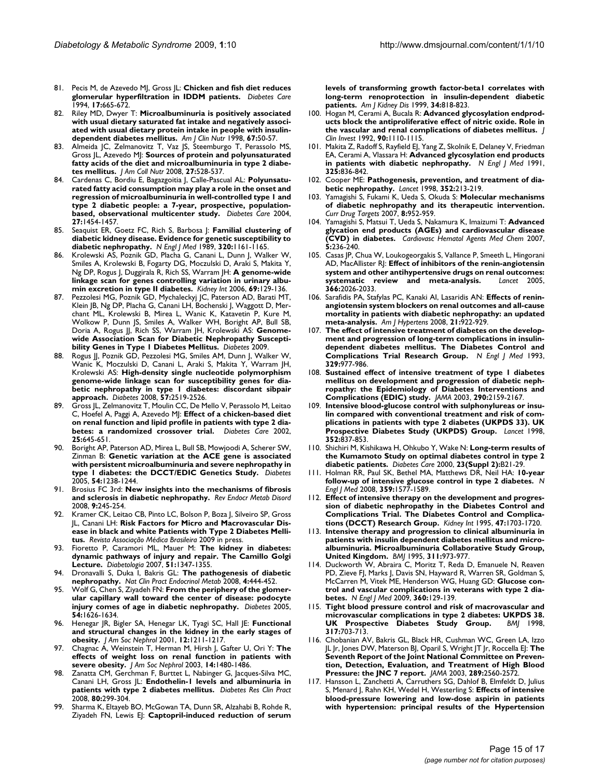- 81. Pecis M, de Azevedo MJ, Gross JL: **[Chicken and fish diet reduces](http://www.ncbi.nlm.nih.gov/entrez/query.fcgi?cmd=Retrieve&db=PubMed&dopt=Abstract&list_uids=7924775) [glomerular hyperfiltration in IDDM patients.](http://www.ncbi.nlm.nih.gov/entrez/query.fcgi?cmd=Retrieve&db=PubMed&dopt=Abstract&list_uids=7924775)** *Diabetes Care* 1994, **17:**665-672.
- 82. Riley MD, Dwyer T: **[Microalbuminuria is positively associated](http://www.ncbi.nlm.nih.gov/entrez/query.fcgi?cmd=Retrieve&db=PubMed&dopt=Abstract&list_uids=9440375) [with usual dietary saturated fat intake and negatively associ](http://www.ncbi.nlm.nih.gov/entrez/query.fcgi?cmd=Retrieve&db=PubMed&dopt=Abstract&list_uids=9440375)ated with usual dietary protein intake in people with insulin[dependent diabetes mellitus.](http://www.ncbi.nlm.nih.gov/entrez/query.fcgi?cmd=Retrieve&db=PubMed&dopt=Abstract&list_uids=9440375)** *Am J Clin Nutr* 1998, **67:**50-57.
- 83. Almeida JC, Zelmanovitz T, Vaz JS, Steemburgo T, Perassolo MS, Gross JL, Azevedo MJ: **[Sources of protein and polyunsaturated](http://www.ncbi.nlm.nih.gov/entrez/query.fcgi?cmd=Retrieve&db=PubMed&dopt=Abstract&list_uids=18845702) [fatty acids of the diet and microalbuminuria in type 2 diabe](http://www.ncbi.nlm.nih.gov/entrez/query.fcgi?cmd=Retrieve&db=PubMed&dopt=Abstract&list_uids=18845702)[tes mellitus.](http://www.ncbi.nlm.nih.gov/entrez/query.fcgi?cmd=Retrieve&db=PubMed&dopt=Abstract&list_uids=18845702)** *J Am Coll Nutr* 2008, **27:**528-537.
- 84. Cardenas C, Bordiu E, Bagazgoitia J, Calle-Pascual AL: **[Polyunsatu](http://www.ncbi.nlm.nih.gov/entrez/query.fcgi?cmd=Retrieve&db=PubMed&dopt=Abstract&list_uids=15161805)[rated fatty acid consumption may play a role in the onset and](http://www.ncbi.nlm.nih.gov/entrez/query.fcgi?cmd=Retrieve&db=PubMed&dopt=Abstract&list_uids=15161805) regression of microalbuminuria in well-controlled type 1 and type 2 diabetic people: a 7-year, prospective, population[based, observational multicenter study.](http://www.ncbi.nlm.nih.gov/entrez/query.fcgi?cmd=Retrieve&db=PubMed&dopt=Abstract&list_uids=15161805)** *Diabetes Care* 2004, **27:**1454-1457.
- 85. Seaquist ER, Goetz FC, Rich S, Barbosa J: **[Familial clustering of](http://www.ncbi.nlm.nih.gov/entrez/query.fcgi?cmd=Retrieve&db=PubMed&dopt=Abstract&list_uids=2710189) [diabetic kidney disease. Evidence for genetic susceptibility to](http://www.ncbi.nlm.nih.gov/entrez/query.fcgi?cmd=Retrieve&db=PubMed&dopt=Abstract&list_uids=2710189) [diabetic nephropathy.](http://www.ncbi.nlm.nih.gov/entrez/query.fcgi?cmd=Retrieve&db=PubMed&dopt=Abstract&list_uids=2710189)** *N Engl J Med* 1989, **320:**1161-1165.
- 86. Krolewski AS, Poznik GD, Placha G, Canani L, Dunn J, Walker W, Smiles A, Krolewski B, Fogarty DG, Moczulski D, Araki S, Makita Y, Ng DP, Rogus J, Duggirala R, Rich SS, Warram JH: **[A genome-wide](http://www.ncbi.nlm.nih.gov/entrez/query.fcgi?cmd=Retrieve&db=PubMed&dopt=Abstract&list_uids=16374433) [linkage scan for genes controlling variation in urinary albu](http://www.ncbi.nlm.nih.gov/entrez/query.fcgi?cmd=Retrieve&db=PubMed&dopt=Abstract&list_uids=16374433)[min excretion in type II diabetes.](http://www.ncbi.nlm.nih.gov/entrez/query.fcgi?cmd=Retrieve&db=PubMed&dopt=Abstract&list_uids=16374433)** *Kidney Int* 2006, **69:**129-136.
- 87. Pezzolesi MG, Poznik GD, Mychaleckyj JC, Paterson AD, Barati MT, Klein JB, Ng DP, Placha G, Canani LH, Bochenski J, Waggott D, Merchant ML, Krolewski B, Mirea L, Wanic K, Katavetin P, Kure M, Wolkow P, Dunn JS, Smiles A, Walker WH, Boright AP, Bull SB, Doria A, Rogus JJ, Rich SS, Warram JH, Krolewski AS: **Genomewide Association Scan for Diabetic Nephropathy Susceptibility Genes in Type 1 Diabetes Mellitus.** *Diabetes* 2009.
- 88. Rogus JJ, Poznik GD, Pezzolesi MG, Smiles AM, Dunn J, Walker W, Wanic K, Moczulski D, Canani L, Araki S, Makita Y, Warram JH, Krolewski AS: **[High-density single nucleotide polymorphism](http://www.ncbi.nlm.nih.gov/entrez/query.fcgi?cmd=Retrieve&db=PubMed&dopt=Abstract&list_uids=18559660) [genome-wide linkage scan for susceptibility genes for dia](http://www.ncbi.nlm.nih.gov/entrez/query.fcgi?cmd=Retrieve&db=PubMed&dopt=Abstract&list_uids=18559660)betic nephropathy in type 1 diabetes: discordant sibpair [approach.](http://www.ncbi.nlm.nih.gov/entrez/query.fcgi?cmd=Retrieve&db=PubMed&dopt=Abstract&list_uids=18559660)** *Diabetes* 2008, **57:**2519-2526.
- 89. Gross JL, Zelmanovitz T, Moulin CC, De Mello V, Perassolo M, Leitao C, Hoefel A, Paggi A, Azevedo MJ: **[Effect of a chicken-based diet](http://www.ncbi.nlm.nih.gov/entrez/query.fcgi?cmd=Retrieve&db=PubMed&dopt=Abstract&list_uids=11919119) [on renal function and lipid profile in patients with type 2 dia](http://www.ncbi.nlm.nih.gov/entrez/query.fcgi?cmd=Retrieve&db=PubMed&dopt=Abstract&list_uids=11919119)[betes: a randomized crossover trial.](http://www.ncbi.nlm.nih.gov/entrez/query.fcgi?cmd=Retrieve&db=PubMed&dopt=Abstract&list_uids=11919119)** *Diabetes Care* 2002, **25:**645-651.
- 90. Boright AP, Paterson AD, Mirea L, Bull SB, Mowjoodi A, Scherer SW, Zinman B: **[Genetic variation at the ACE gene is associated](http://www.ncbi.nlm.nih.gov/entrez/query.fcgi?cmd=Retrieve&db=PubMed&dopt=Abstract&list_uids=15793268) [with persistent microalbuminuria and severe nephropathy in](http://www.ncbi.nlm.nih.gov/entrez/query.fcgi?cmd=Retrieve&db=PubMed&dopt=Abstract&list_uids=15793268) [type 1 diabetes: the DCCT/EDIC Genetics Study.](http://www.ncbi.nlm.nih.gov/entrez/query.fcgi?cmd=Retrieve&db=PubMed&dopt=Abstract&list_uids=15793268)** *Diabetes* 2005, **54:**1238-1244.
- 91. Brosius FC 3rd: **[New insights into the mechanisms of fibrosis](http://www.ncbi.nlm.nih.gov/entrez/query.fcgi?cmd=Retrieve&db=PubMed&dopt=Abstract&list_uids=18726161) [and sclerosis in diabetic nephropathy.](http://www.ncbi.nlm.nih.gov/entrez/query.fcgi?cmd=Retrieve&db=PubMed&dopt=Abstract&list_uids=18726161)** *Rev Endocr Metab Disord* 2008, **9:**245-254.
- 92. Kramer CK, Leitao CB, Pinto LC, Bolson P, Boza J, Silveiro SP, Gross JL, Canani LH: **Risk Factors for Micro and Macrovascular Disease in black and white Patients with Type 2 Diabetes Mellitus.** *Revista Associação Médica Brasileira* 2009 in press.
- 93. Fioretto P, Caramori ML, Mauer M: **The kidney in diabetes: dynamic pathways of injury and repair. The Camillo Golgi Lecture.** *Diabetologia* 2007, **51:**1347-1355.
- 94. Dronavalli S, Duka I, Bakris GL: **[The pathogenesis of diabetic](http://www.ncbi.nlm.nih.gov/entrez/query.fcgi?cmd=Retrieve&db=PubMed&dopt=Abstract&list_uids=18607402) [nephropathy.](http://www.ncbi.nlm.nih.gov/entrez/query.fcgi?cmd=Retrieve&db=PubMed&dopt=Abstract&list_uids=18607402)** *Nat Clin Pract Endocrinol Metab* 2008, **4:**444-452.
- 95. Wolf G, Chen S, Ziyadeh FN: **[From the periphery of the glomer](http://www.ncbi.nlm.nih.gov/entrez/query.fcgi?cmd=Retrieve&db=PubMed&dopt=Abstract&list_uids=15919782)[ular capillary wall toward the center of disease: podocyte](http://www.ncbi.nlm.nih.gov/entrez/query.fcgi?cmd=Retrieve&db=PubMed&dopt=Abstract&list_uids=15919782) [injury comes of age in diabetic nephropathy.](http://www.ncbi.nlm.nih.gov/entrez/query.fcgi?cmd=Retrieve&db=PubMed&dopt=Abstract&list_uids=15919782)** *Diabetes* 2005, **54:**1626-1634.
- 96. Henegar JR, Bigler SA, Henegar LK, Tyagi SC, Hall JE: **[Functional](http://www.ncbi.nlm.nih.gov/entrez/query.fcgi?cmd=Retrieve&db=PubMed&dopt=Abstract&list_uids=11373344) [and structural changes in the kidney in the early stages of](http://www.ncbi.nlm.nih.gov/entrez/query.fcgi?cmd=Retrieve&db=PubMed&dopt=Abstract&list_uids=11373344) [obesity.](http://www.ncbi.nlm.nih.gov/entrez/query.fcgi?cmd=Retrieve&db=PubMed&dopt=Abstract&list_uids=11373344)** *J Am Soc Nephrol* 2001, **12:**1211-1217.
- 97. Chagnac A, Weinstein T, Herman M, Hirsh J, Gafter U, Ori Y: **[The](http://www.ncbi.nlm.nih.gov/entrez/query.fcgi?cmd=Retrieve&db=PubMed&dopt=Abstract&list_uids=12761248) [effects of weight loss on renal function in patients with](http://www.ncbi.nlm.nih.gov/entrez/query.fcgi?cmd=Retrieve&db=PubMed&dopt=Abstract&list_uids=12761248) [severe obesity.](http://www.ncbi.nlm.nih.gov/entrez/query.fcgi?cmd=Retrieve&db=PubMed&dopt=Abstract&list_uids=12761248)** *J Am Soc Nephrol* 2003, **14:**1480-1486.
- 98. Zanatta CM, Gerchman F, Burttet L, Nabinger G, Jacques-Silva MC, Canani LH, Gross JL: **[Endothelin-1 levels and albuminuria in](http://www.ncbi.nlm.nih.gov/entrez/query.fcgi?cmd=Retrieve&db=PubMed&dopt=Abstract&list_uids=18346810) [patients with type 2 diabetes mellitus.](http://www.ncbi.nlm.nih.gov/entrez/query.fcgi?cmd=Retrieve&db=PubMed&dopt=Abstract&list_uids=18346810)** *Diabetes Res Clin Pract* 2008, **80:**299-304.
- 99. Sharma K, Eltayeb BO, McGowan TA, Dunn SR, Alzahabi B, Rohde R, Ziyadeh FN, Lewis EJ: **[Captopril-induced reduction of serum](http://www.ncbi.nlm.nih.gov/entrez/query.fcgi?cmd=Retrieve&db=PubMed&dopt=Abstract&list_uids=10561136)**

**[levels of transforming growth factor-beta1 correlates with](http://www.ncbi.nlm.nih.gov/entrez/query.fcgi?cmd=Retrieve&db=PubMed&dopt=Abstract&list_uids=10561136) long-term renoprotection in insulin-dependent diabetic [patients.](http://www.ncbi.nlm.nih.gov/entrez/query.fcgi?cmd=Retrieve&db=PubMed&dopt=Abstract&list_uids=10561136)** *Am J Kidney Dis* 1999, **34:**818-823.

- 100. Hogan M, Cerami A, Bucala R: **[Advanced glycosylation endprod](http://www.ncbi.nlm.nih.gov/entrez/query.fcgi?cmd=Retrieve&db=PubMed&dopt=Abstract&list_uids=1522220)[ucts block the antiproliferative effect of nitric oxide. Role in](http://www.ncbi.nlm.nih.gov/entrez/query.fcgi?cmd=Retrieve&db=PubMed&dopt=Abstract&list_uids=1522220) [the vascular and renal complications of diabetes mellitus.](http://www.ncbi.nlm.nih.gov/entrez/query.fcgi?cmd=Retrieve&db=PubMed&dopt=Abstract&list_uids=1522220)** *J Clin Invest* 1992, **90:**1110-1115.
- 101. Makita Z, Radoff S, Rayfield EJ, Yang Z, Skolnik E, Delaney V, Friedman EA, Cerami A, Vlassara H: **[Advanced glycosylation end products](http://www.ncbi.nlm.nih.gov/entrez/query.fcgi?cmd=Retrieve&db=PubMed&dopt=Abstract&list_uids=1875967) [in patients with diabetic nephropathy.](http://www.ncbi.nlm.nih.gov/entrez/query.fcgi?cmd=Retrieve&db=PubMed&dopt=Abstract&list_uids=1875967)** *N Engl J Med* 1991, **325:**836-842.
- 102. Cooper ME: **[Pathogenesis, prevention, and treatment of dia](http://www.ncbi.nlm.nih.gov/entrez/query.fcgi?cmd=Retrieve&db=PubMed&dopt=Abstract&list_uids=9683226)[betic nephropathy.](http://www.ncbi.nlm.nih.gov/entrez/query.fcgi?cmd=Retrieve&db=PubMed&dopt=Abstract&list_uids=9683226)** *Lancet* 1998, **352:**213-219.
- 103. Yamagishi S, Fukami K, Ueda S, Okuda S: **[Molecular mechanisms](http://www.ncbi.nlm.nih.gov/entrez/query.fcgi?cmd=Retrieve&db=PubMed&dopt=Abstract&list_uids=17691932) [of diabetic nephropathy and its therapeutic intervention.](http://www.ncbi.nlm.nih.gov/entrez/query.fcgi?cmd=Retrieve&db=PubMed&dopt=Abstract&list_uids=17691932)** *Curr Drug Targets* 2007, **8:**952-959.
- 104. Yamagishi S, Matsui T, Ueda S, Nakamura K, Imaizumi T: **[Advanced](http://www.ncbi.nlm.nih.gov/entrez/query.fcgi?cmd=Retrieve&db=PubMed&dopt=Abstract&list_uids=17630950) [glycation end products \(AGEs\) and cardiovascular disease](http://www.ncbi.nlm.nih.gov/entrez/query.fcgi?cmd=Retrieve&db=PubMed&dopt=Abstract&list_uids=17630950) [\(CVD\) in diabetes.](http://www.ncbi.nlm.nih.gov/entrez/query.fcgi?cmd=Retrieve&db=PubMed&dopt=Abstract&list_uids=17630950)** *Cardiovasc Hematol Agents Med Chem* 2007, **5:**236-240.
- 105. Casas JP, Chua W, Loukogeorgakis S, Vallance P, Smeeth L, Hingorani AD, MacAllister RJ: **[Effect of inhibitors of the renin-angiotensin](http://www.ncbi.nlm.nih.gov/entrez/query.fcgi?cmd=Retrieve&db=PubMed&dopt=Abstract&list_uids=16338452) [system and other antihypertensive drugs on renal outcomes:](http://www.ncbi.nlm.nih.gov/entrez/query.fcgi?cmd=Retrieve&db=PubMed&dopt=Abstract&list_uids=16338452) [systematic review and meta-analysis.](http://www.ncbi.nlm.nih.gov/entrez/query.fcgi?cmd=Retrieve&db=PubMed&dopt=Abstract&list_uids=16338452)** *Lancet* 2005, **366:**2026-2033.
- 106. Sarafidis PA, Stafylas PC, Kanaki AI, Lasaridis AN: **[Effects of renin](http://www.ncbi.nlm.nih.gov/entrez/query.fcgi?cmd=Retrieve&db=PubMed&dopt=Abstract&list_uids=18535536)[angiotensin system blockers on renal outcomes and all-cause](http://www.ncbi.nlm.nih.gov/entrez/query.fcgi?cmd=Retrieve&db=PubMed&dopt=Abstract&list_uids=18535536) mortality in patients with diabetic nephropathy: an updated [meta-analysis.](http://www.ncbi.nlm.nih.gov/entrez/query.fcgi?cmd=Retrieve&db=PubMed&dopt=Abstract&list_uids=18535536)** *Am J Hypertens* 2008, **21:**922-929.
- 107. **[The effect of intensive treatment of diabetes on the develop](http://www.ncbi.nlm.nih.gov/entrez/query.fcgi?cmd=Retrieve&db=PubMed&dopt=Abstract&list_uids=8366922)[ment and progression of long-term complications in insulin](http://www.ncbi.nlm.nih.gov/entrez/query.fcgi?cmd=Retrieve&db=PubMed&dopt=Abstract&list_uids=8366922)dependent diabetes mellitus. The Diabetes Control and [Complications Trial Research Group.](http://www.ncbi.nlm.nih.gov/entrez/query.fcgi?cmd=Retrieve&db=PubMed&dopt=Abstract&list_uids=8366922)** *N Engl J Med* 1993, **329:**977-986.
- 108. **[Sustained effect of intensive treatment of type 1 diabetes](http://www.ncbi.nlm.nih.gov/entrez/query.fcgi?cmd=Retrieve&db=PubMed&dopt=Abstract&list_uids=14570951) [mellitus on development and progression of diabetic neph](http://www.ncbi.nlm.nih.gov/entrez/query.fcgi?cmd=Retrieve&db=PubMed&dopt=Abstract&list_uids=14570951)ropathy: the Epidemiology of Diabetes Interventions and [Complications \(EDIC\) study.](http://www.ncbi.nlm.nih.gov/entrez/query.fcgi?cmd=Retrieve&db=PubMed&dopt=Abstract&list_uids=14570951)** *JAMA* 2003, **290:**2159-2167.
- 109. **[Intensive blood-glucose control with sulphonylureas or insu](http://www.ncbi.nlm.nih.gov/entrez/query.fcgi?cmd=Retrieve&db=PubMed&dopt=Abstract&list_uids=9742976)[lin compared with conventional treatment and risk of com](http://www.ncbi.nlm.nih.gov/entrez/query.fcgi?cmd=Retrieve&db=PubMed&dopt=Abstract&list_uids=9742976)plications in patients with type 2 diabetes (UKPDS 33). UK [Prospective Diabetes Study \(UKPDS\) Group.](http://www.ncbi.nlm.nih.gov/entrez/query.fcgi?cmd=Retrieve&db=PubMed&dopt=Abstract&list_uids=9742976)** *Lancet* 1998, **352:**837-853.
- 110. Shichiri M, Kishikawa H, Ohkubo Y, Wake N: **[Long-term results of](http://www.ncbi.nlm.nih.gov/entrez/query.fcgi?cmd=Retrieve&db=PubMed&dopt=Abstract&list_uids=10860187) [the Kumamoto Study on optimal diabetes control in type 2](http://www.ncbi.nlm.nih.gov/entrez/query.fcgi?cmd=Retrieve&db=PubMed&dopt=Abstract&list_uids=10860187) [diabetic patients.](http://www.ncbi.nlm.nih.gov/entrez/query.fcgi?cmd=Retrieve&db=PubMed&dopt=Abstract&list_uids=10860187)** *Diabetes Care* 2000, **23(Suppl 2):**B21-29.
- 111. Holman RR, Paul SK, Bethel MA, Matthews DR, Neil HA: **[10-year](http://www.ncbi.nlm.nih.gov/entrez/query.fcgi?cmd=Retrieve&db=PubMed&dopt=Abstract&list_uids=18784090) [follow-up of intensive glucose control in type 2 diabetes.](http://www.ncbi.nlm.nih.gov/entrez/query.fcgi?cmd=Retrieve&db=PubMed&dopt=Abstract&list_uids=18784090)** *N Engl J Med* 2008, **359:**1577-1589.
- 112. **[Effect of intensive therapy on the development and progres](http://www.ncbi.nlm.nih.gov/entrez/query.fcgi?cmd=Retrieve&db=PubMed&dopt=Abstract&list_uids=7643540)[sion of diabetic nephropathy in the Diabetes Control and](http://www.ncbi.nlm.nih.gov/entrez/query.fcgi?cmd=Retrieve&db=PubMed&dopt=Abstract&list_uids=7643540) Complications Trial. The Diabetes Control and Complica[tions \(DCCT\) Research Group.](http://www.ncbi.nlm.nih.gov/entrez/query.fcgi?cmd=Retrieve&db=PubMed&dopt=Abstract&list_uids=7643540)** *Kidney Int* 1995, **47:**1703-1720.
- 113. **[Intensive therapy and progression to clinical albuminuria in](http://www.ncbi.nlm.nih.gov/entrez/query.fcgi?cmd=Retrieve&db=PubMed&dopt=Abstract&list_uids=7580637) [patients with insulin dependent diabetes mellitus and micro](http://www.ncbi.nlm.nih.gov/entrez/query.fcgi?cmd=Retrieve&db=PubMed&dopt=Abstract&list_uids=7580637)albuminuria. Microalbuminuria Collaborative Study Group, [United Kingdom.](http://www.ncbi.nlm.nih.gov/entrez/query.fcgi?cmd=Retrieve&db=PubMed&dopt=Abstract&list_uids=7580637)** *BMJ* 1995, **311:**973-977.
- 114. Duckworth W, Abraira C, Moritz T, Reda D, Emanuele N, Reaven PD, Zieve FJ, Marks J, Davis SN, Hayward R, Warren SR, Goldman S, McCarren M, Vitek ME, Henderson WG, Huang GD: **[Glucose con](http://www.ncbi.nlm.nih.gov/entrez/query.fcgi?cmd=Retrieve&db=PubMed&dopt=Abstract&list_uids=19092145)[trol and vascular complications in veterans with type 2 dia](http://www.ncbi.nlm.nih.gov/entrez/query.fcgi?cmd=Retrieve&db=PubMed&dopt=Abstract&list_uids=19092145)[betes.](http://www.ncbi.nlm.nih.gov/entrez/query.fcgi?cmd=Retrieve&db=PubMed&dopt=Abstract&list_uids=19092145)** *N Engl J Med* 2009, **360:**129-139.
- 115. **[Tight blood pressure control and risk of macrovascular and](http://www.ncbi.nlm.nih.gov/entrez/query.fcgi?cmd=Retrieve&db=PubMed&dopt=Abstract&list_uids=9732337) [microvascular complications in type 2 diabetes: UKPDS 38.](http://www.ncbi.nlm.nih.gov/entrez/query.fcgi?cmd=Retrieve&db=PubMed&dopt=Abstract&list_uids=9732337)** [UK Prospective Diabetes Study Group.](http://www.ncbi.nlm.nih.gov/entrez/query.fcgi?cmd=Retrieve&db=PubMed&dopt=Abstract&list_uids=9732337) **317:**703-713.
- 116. Chobanian AV, Bakris GL, Black HR, Cushman WC, Green LA, Izzo JL Jr, Jones DW, Materson BJ, Oparil S, Wright JT Jr, Roccella EJ: **[The](http://www.ncbi.nlm.nih.gov/entrez/query.fcgi?cmd=Retrieve&db=PubMed&dopt=Abstract&list_uids=12748199) [Seventh Report of the Joint National Committee on Preven](http://www.ncbi.nlm.nih.gov/entrez/query.fcgi?cmd=Retrieve&db=PubMed&dopt=Abstract&list_uids=12748199)tion, Detection, Evaluation, and Treatment of High Blood [Pressure: the JNC 7 report.](http://www.ncbi.nlm.nih.gov/entrez/query.fcgi?cmd=Retrieve&db=PubMed&dopt=Abstract&list_uids=12748199)** *JAMA* 2003, **289:**2560-2572.
- 117. Hansson L, Zanchetti A, Carruthers SG, Dahlof B, Elmfeldt D, Julius S, Menard J, Rahn KH, Wedel H, Westerling S: **[Effects of intensive](http://www.ncbi.nlm.nih.gov/entrez/query.fcgi?cmd=Retrieve&db=PubMed&dopt=Abstract&list_uids=9635947) [blood-pressure lowering and low-dose aspirin in patients](http://www.ncbi.nlm.nih.gov/entrez/query.fcgi?cmd=Retrieve&db=PubMed&dopt=Abstract&list_uids=9635947) [with hypertension: principal results of the Hypertension](http://www.ncbi.nlm.nih.gov/entrez/query.fcgi?cmd=Retrieve&db=PubMed&dopt=Abstract&list_uids=9635947)**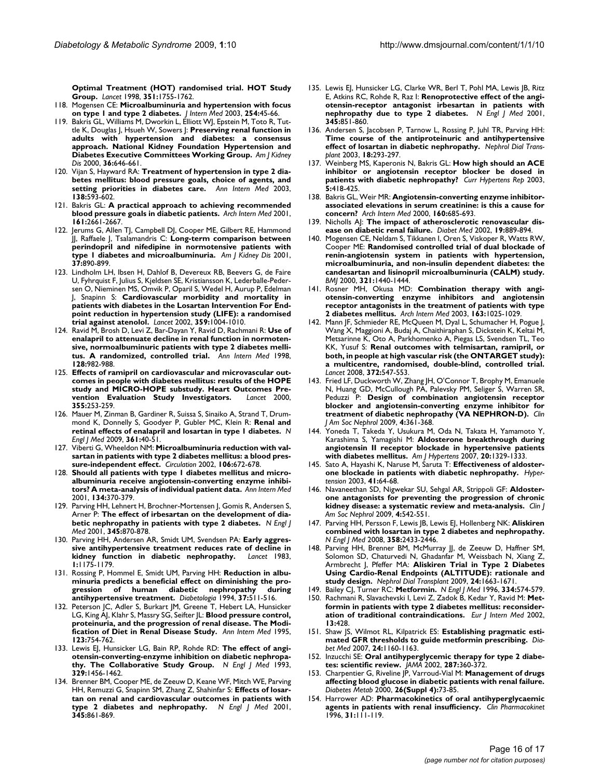**[Optimal Treatment \(HOT\) randomised trial. HOT Study](http://www.ncbi.nlm.nih.gov/entrez/query.fcgi?cmd=Retrieve&db=PubMed&dopt=Abstract&list_uids=9635947) [Group.](http://www.ncbi.nlm.nih.gov/entrez/query.fcgi?cmd=Retrieve&db=PubMed&dopt=Abstract&list_uids=9635947)** *Lancet* 1998, **351:**1755-1762.

- 118. Mogensen CE: **[Microalbuminuria and hypertension with focus](http://www.ncbi.nlm.nih.gov/entrez/query.fcgi?cmd=Retrieve&db=PubMed&dopt=Abstract&list_uids=12823642) [on type 1 and type 2 diabetes.](http://www.ncbi.nlm.nih.gov/entrez/query.fcgi?cmd=Retrieve&db=PubMed&dopt=Abstract&list_uids=12823642)** *J Intern Med* 2003, **254:**45-66.
- 119. Bakris GL, Williams M, Dworkin L, Elliott WJ, Epstein M, Toto R, Tuttle K, Douglas J, Hsueh W, Sowers J: **[Preserving renal function in](http://www.ncbi.nlm.nih.gov/entrez/query.fcgi?cmd=Retrieve&db=PubMed&dopt=Abstract&list_uids=10977801) [adults with hypertension and diabetes: a consensus](http://www.ncbi.nlm.nih.gov/entrez/query.fcgi?cmd=Retrieve&db=PubMed&dopt=Abstract&list_uids=10977801) approach. National Kidney Foundation Hypertension and [Diabetes Executive Committees Working Group.](http://www.ncbi.nlm.nih.gov/entrez/query.fcgi?cmd=Retrieve&db=PubMed&dopt=Abstract&list_uids=10977801)** *Am J Kidney Dis* 2000, **36:**646-661.
- 120. Vijan S, Hayward RA: **[Treatment of hypertension in type 2 dia](http://www.ncbi.nlm.nih.gov/entrez/query.fcgi?cmd=Retrieve&db=PubMed&dopt=Abstract&list_uids=12667032)[betes mellitus: blood pressure goals, choice of agents, and](http://www.ncbi.nlm.nih.gov/entrez/query.fcgi?cmd=Retrieve&db=PubMed&dopt=Abstract&list_uids=12667032) [setting priorities in diabetes care.](http://www.ncbi.nlm.nih.gov/entrez/query.fcgi?cmd=Retrieve&db=PubMed&dopt=Abstract&list_uids=12667032)** *Ann Intern Med* 2003, **138:**593-602.
- 121. Bakris GL: **[A practical approach to achieving recommended](http://www.ncbi.nlm.nih.gov/entrez/query.fcgi?cmd=Retrieve&db=PubMed&dopt=Abstract&list_uids=11732930) [blood pressure goals in diabetic patients.](http://www.ncbi.nlm.nih.gov/entrez/query.fcgi?cmd=Retrieve&db=PubMed&dopt=Abstract&list_uids=11732930)** *Arch Intern Med* 2001, **161:**2661-2667.
- 122. Jerums G, Allen TJ, Campbell DJ, Cooper ME, Gilbert RE, Hammond JJ, Raffaele J, Tsalamandris C: **[Long-term comparison between](http://www.ncbi.nlm.nih.gov/entrez/query.fcgi?cmd=Retrieve&db=PubMed&dopt=Abstract&list_uids=11325669) [perindopril and nifedipine in normotensive patients with](http://www.ncbi.nlm.nih.gov/entrez/query.fcgi?cmd=Retrieve&db=PubMed&dopt=Abstract&list_uids=11325669) [type 1 diabetes and microalbuminuria.](http://www.ncbi.nlm.nih.gov/entrez/query.fcgi?cmd=Retrieve&db=PubMed&dopt=Abstract&list_uids=11325669)** *Am J Kidney Dis* 2001, **37:**890-899.
- 123. Lindholm LH, Ibsen H, Dahlof B, Devereux RB, Beevers G, de Faire U, Fyhrquist F, Julius S, Kjeldsen SE, Kristiansson K, Lederballe-Pedersen O, Nieminen MS, Omvik P, Oparil S, Wedel H, Aurup P, Edelman J, Snapinn S: **[Cardiovascular morbidity and mortality in](http://www.ncbi.nlm.nih.gov/entrez/query.fcgi?cmd=Retrieve&db=PubMed&dopt=Abstract&list_uids=11937179) [patients with diabetes in the Losartan Intervention For End](http://www.ncbi.nlm.nih.gov/entrez/query.fcgi?cmd=Retrieve&db=PubMed&dopt=Abstract&list_uids=11937179)point reduction in hypertension study (LIFE): a randomised [trial against atenolol.](http://www.ncbi.nlm.nih.gov/entrez/query.fcgi?cmd=Retrieve&db=PubMed&dopt=Abstract&list_uids=11937179)** *Lancet* 2002, **359:**1004-1010.
- 124. Ravid M, Brosh D, Levi Z, Bar-Dayan Y, Ravid D, Rachmani R: **[Use of](http://www.ncbi.nlm.nih.gov/entrez/query.fcgi?cmd=Retrieve&db=PubMed&dopt=Abstract&list_uids=9625684) [enalapril to attenuate decline in renal function in normoten](http://www.ncbi.nlm.nih.gov/entrez/query.fcgi?cmd=Retrieve&db=PubMed&dopt=Abstract&list_uids=9625684)sive, normoalbuminuric patients with type 2 diabetes melli[tus. A randomized, controlled trial.](http://www.ncbi.nlm.nih.gov/entrez/query.fcgi?cmd=Retrieve&db=PubMed&dopt=Abstract&list_uids=9625684)** *Ann Intern Med* 1998, **128:**982-988.
- 125. **[Effects of ramipril on cardiovascular and microvascular out](http://www.ncbi.nlm.nih.gov/entrez/query.fcgi?cmd=Retrieve&db=PubMed&dopt=Abstract&list_uids=10675071)[comes in people with diabetes mellitus: results of the HOPE](http://www.ncbi.nlm.nih.gov/entrez/query.fcgi?cmd=Retrieve&db=PubMed&dopt=Abstract&list_uids=10675071)** study and MICRO-HOPE substudy. Heart Outcomes Pre-<br>vention Evaluation Study Investigators. *Lancet* 2000. [vention Evaluation Study Investigators.](http://www.ncbi.nlm.nih.gov/entrez/query.fcgi?cmd=Retrieve&db=PubMed&dopt=Abstract&list_uids=10675071) **355:**253-259.
- 126. Mauer M, Zinman B, Gardiner R, Suissa S, Sinaiko A, Strand T, Drummond K, Donnelly S, Goodyer P, Gubler MC, Klein R: **[Renal and](http://www.ncbi.nlm.nih.gov/entrez/query.fcgi?cmd=Retrieve&db=PubMed&dopt=Abstract&list_uids=19571282) [retinal effects of enalapril and losartan in type 1 diabetes.](http://www.ncbi.nlm.nih.gov/entrez/query.fcgi?cmd=Retrieve&db=PubMed&dopt=Abstract&list_uids=19571282)** *N Engl J Med* 2009, **361:**40-51.
- 127. Viberti G, Wheeldon NM: **[Microalbuminuria reduction with val](http://www.ncbi.nlm.nih.gov/entrez/query.fcgi?cmd=Retrieve&db=PubMed&dopt=Abstract&list_uids=12163426)[sartan in patients with type 2 diabetes mellitus: a blood pres](http://www.ncbi.nlm.nih.gov/entrez/query.fcgi?cmd=Retrieve&db=PubMed&dopt=Abstract&list_uids=12163426)[sure-independent effect.](http://www.ncbi.nlm.nih.gov/entrez/query.fcgi?cmd=Retrieve&db=PubMed&dopt=Abstract&list_uids=12163426)** *Circulation* 2002, **106:**672-678.
- <span id="page-15-0"></span>128. **[Should all patients with type 1 diabetes mellitus and micro](http://www.ncbi.nlm.nih.gov/entrez/query.fcgi?cmd=Retrieve&db=PubMed&dopt=Abstract&list_uids=11242497)[albuminuria receive angiotensin-converting enzyme inhibi](http://www.ncbi.nlm.nih.gov/entrez/query.fcgi?cmd=Retrieve&db=PubMed&dopt=Abstract&list_uids=11242497)[tors? A meta-analysis of individual patient data.](http://www.ncbi.nlm.nih.gov/entrez/query.fcgi?cmd=Retrieve&db=PubMed&dopt=Abstract&list_uids=11242497)** *Ann Intern Med* 2001, **134:**370-379.
- 129. Parving HH, Lehnert H, Brochner-Mortensen J, Gomis R, Andersen S, Arner P: **[The effect of irbesartan on the development of dia](http://www.ncbi.nlm.nih.gov/entrez/query.fcgi?cmd=Retrieve&db=PubMed&dopt=Abstract&list_uids=11565519)[betic nephropathy in patients with type 2 diabetes.](http://www.ncbi.nlm.nih.gov/entrez/query.fcgi?cmd=Retrieve&db=PubMed&dopt=Abstract&list_uids=11565519)** *N Engl J Med* 2001, **345:**870-878.
- 130. Parving HH, Andersen AR, Smidt UM, Svendsen PA: **[Early aggres](http://www.ncbi.nlm.nih.gov/entrez/query.fcgi?cmd=Retrieve&db=PubMed&dopt=Abstract&list_uids=6133986)[sive antihypertensive treatment reduces rate of decline in](http://www.ncbi.nlm.nih.gov/entrez/query.fcgi?cmd=Retrieve&db=PubMed&dopt=Abstract&list_uids=6133986) [kidney function in diabetic nephropathy.](http://www.ncbi.nlm.nih.gov/entrez/query.fcgi?cmd=Retrieve&db=PubMed&dopt=Abstract&list_uids=6133986)** *Lancet* 1983, **1:**1175-1179.
- 131. Rossing P, Hommel E, Smidt UM, Parving HH: **[Reduction in albu](http://www.ncbi.nlm.nih.gov/entrez/query.fcgi?cmd=Retrieve&db=PubMed&dopt=Abstract&list_uids=8056190)[minuria predicts a beneficial effect on diminishing the pro](http://www.ncbi.nlm.nih.gov/entrez/query.fcgi?cmd=Retrieve&db=PubMed&dopt=Abstract&list_uids=8056190)**gression of human diabetic nephropathy **[antihypertensive treatment.](http://www.ncbi.nlm.nih.gov/entrez/query.fcgi?cmd=Retrieve&db=PubMed&dopt=Abstract&list_uids=8056190)** *Diabetologia* 1994, **37:**511-516.
- 132. Peterson JC, Adler S, Burkart JM, Greene T, Hebert LA, Hunsicker LG, King AJ, Klahr S, Massry SG, Seifter JL: **[Blood pressure control,](http://www.ncbi.nlm.nih.gov/entrez/query.fcgi?cmd=Retrieve&db=PubMed&dopt=Abstract&list_uids=7574193) [proteinuria, and the progression of renal disease. The Modi](http://www.ncbi.nlm.nih.gov/entrez/query.fcgi?cmd=Retrieve&db=PubMed&dopt=Abstract&list_uids=7574193)[fication of Diet in Renal Disease Study.](http://www.ncbi.nlm.nih.gov/entrez/query.fcgi?cmd=Retrieve&db=PubMed&dopt=Abstract&list_uids=7574193)** *Ann Intern Med* 1995, **123:**754-762.
- 133. Lewis EJ, Hunsicker LG, Bain RP, Rohde RD: [The effect of angi](http://www.ncbi.nlm.nih.gov/entrez/query.fcgi?cmd=Retrieve&db=PubMed&dopt=Abstract&list_uids=8413456)**[otensin-converting-enzyme inhibition on diabetic nephropa](http://www.ncbi.nlm.nih.gov/entrez/query.fcgi?cmd=Retrieve&db=PubMed&dopt=Abstract&list_uids=8413456)[thy. The Collaborative Study Group.](http://www.ncbi.nlm.nih.gov/entrez/query.fcgi?cmd=Retrieve&db=PubMed&dopt=Abstract&list_uids=8413456)** *N Engl J Med* 1993, **329:**1456-1462.
- 134. Brenner BM, Cooper ME, de Zeeuw D, Keane WF, Mitch WE, Parving HH, Remuzzi G, Snapinn SM, Zhang Z, Shahinfar S: **[Effects of losar](http://www.ncbi.nlm.nih.gov/entrez/query.fcgi?cmd=Retrieve&db=PubMed&dopt=Abstract&list_uids=11565518)[tan on renal and cardiovascular outcomes in patients with](http://www.ncbi.nlm.nih.gov/entrez/query.fcgi?cmd=Retrieve&db=PubMed&dopt=Abstract&list_uids=11565518) [type 2 diabetes and nephropathy.](http://www.ncbi.nlm.nih.gov/entrez/query.fcgi?cmd=Retrieve&db=PubMed&dopt=Abstract&list_uids=11565518)** *N Engl J Med* 2001, **345:**861-869.
- 135. Lewis EJ, Hunsicker LG, Clarke WR, Berl T, Pohl MA, Lewis JB, Ritz E, Atkins RC, Rohde R, Raz I: **[Renoprotective effect of the angi](http://www.ncbi.nlm.nih.gov/entrez/query.fcgi?cmd=Retrieve&db=PubMed&dopt=Abstract&list_uids=11565517)[otensin-receptor antagonist irbesartan in patients with](http://www.ncbi.nlm.nih.gov/entrez/query.fcgi?cmd=Retrieve&db=PubMed&dopt=Abstract&list_uids=11565517) [nephropathy due to type 2 diabetes.](http://www.ncbi.nlm.nih.gov/entrez/query.fcgi?cmd=Retrieve&db=PubMed&dopt=Abstract&list_uids=11565517)** *N Engl J Med* 2001, **345:**851-860.
- 136. Andersen S, Jacobsen P, Tarnow L, Rossing P, Juhl TR, Parving HH: **[Time course of the antiproteinuric and antihypertensive](http://www.ncbi.nlm.nih.gov/entrez/query.fcgi?cmd=Retrieve&db=PubMed&dopt=Abstract&list_uids=12543883) [effect of losartan in diabetic nephropathy.](http://www.ncbi.nlm.nih.gov/entrez/query.fcgi?cmd=Retrieve&db=PubMed&dopt=Abstract&list_uids=12543883)** *Nephrol Dial Transplant* 2003, **18:**293-297.
- 137. Weinberg MS, Kaperonis N, Bakris GL: **[How high should an ACE](http://www.ncbi.nlm.nih.gov/entrez/query.fcgi?cmd=Retrieve&db=PubMed&dopt=Abstract&list_uids=12948435) [inhibitor or angiotensin receptor blocker be dosed in](http://www.ncbi.nlm.nih.gov/entrez/query.fcgi?cmd=Retrieve&db=PubMed&dopt=Abstract&list_uids=12948435) [patients with diabetic nephropathy?](http://www.ncbi.nlm.nih.gov/entrez/query.fcgi?cmd=Retrieve&db=PubMed&dopt=Abstract&list_uids=12948435)** *Curr Hypertens Rep* 2003, **5:**418-425.
- 138. Bakris GL, Weir MR: **[Angiotensin-converting enzyme inhibitor](http://www.ncbi.nlm.nih.gov/entrez/query.fcgi?cmd=Retrieve&db=PubMed&dopt=Abstract&list_uids=10724055)[associated elevations in serum creatinine: is this a cause for](http://www.ncbi.nlm.nih.gov/entrez/query.fcgi?cmd=Retrieve&db=PubMed&dopt=Abstract&list_uids=10724055) [concern?](http://www.ncbi.nlm.nih.gov/entrez/query.fcgi?cmd=Retrieve&db=PubMed&dopt=Abstract&list_uids=10724055)** *Arch Intern Med* 2000, **160:**685-693.
- 139. Nicholls AJ: **[The impact of atherosclerotic renovascular dis](http://www.ncbi.nlm.nih.gov/entrez/query.fcgi?cmd=Retrieve&db=PubMed&dopt=Abstract&list_uids=12421424)[ease on diabetic renal failure.](http://www.ncbi.nlm.nih.gov/entrez/query.fcgi?cmd=Retrieve&db=PubMed&dopt=Abstract&list_uids=12421424)** *Diabet Med* 2002, **19:**889-894.
- 140. Mogensen CE, Neldam S, Tikkanen I, Oren S, Viskoper R, Watts RW, Cooper ME: **[Randomised controlled trial of dual blockade of](http://www.ncbi.nlm.nih.gov/entrez/query.fcgi?cmd=Retrieve&db=PubMed&dopt=Abstract&list_uids=11110735) [renin-angiotensin system in patients with hypertension,](http://www.ncbi.nlm.nih.gov/entrez/query.fcgi?cmd=Retrieve&db=PubMed&dopt=Abstract&list_uids=11110735) microalbuminuria, and non-insulin dependent diabetes: the candesartan and lisinopril microalbuminuria (CALM) study.** *BMJ* 2000, **321:**1440-1444.
- 141. Rosner MH, Okusa MD: **[Combination therapy with angi](http://www.ncbi.nlm.nih.gov/entrez/query.fcgi?cmd=Retrieve&db=PubMed&dopt=Abstract&list_uids=12742799)[otensin-converting enzyme inhibitors and angiotensin](http://www.ncbi.nlm.nih.gov/entrez/query.fcgi?cmd=Retrieve&db=PubMed&dopt=Abstract&list_uids=12742799) receptor antagonists in the treatment of patients with type [2 diabetes mellitus.](http://www.ncbi.nlm.nih.gov/entrez/query.fcgi?cmd=Retrieve&db=PubMed&dopt=Abstract&list_uids=12742799)** *Arch Intern Med* 2003, **163:**1025-1029.
- 142. Mann JF, Schmieder RE, McQueen M, Dyal L, Schumacher H, Pogue J, Wang X, Maggioni A, Budaj A, Chaithiraphan S, Dickstein K, Keltai M, Metsarinne K, Oto A, Parkhomenko A, Piegas LS, Svendsen TL, Teo KK, Yusuf S: **[Renal outcomes with telmisartan, ramipril, or](http://www.ncbi.nlm.nih.gov/entrez/query.fcgi?cmd=Retrieve&db=PubMed&dopt=Abstract&list_uids=18707986) [both, in people at high vascular risk \(the ONTARGET study\):](http://www.ncbi.nlm.nih.gov/entrez/query.fcgi?cmd=Retrieve&db=PubMed&dopt=Abstract&list_uids=18707986) a multicentre, randomised, double-blind, controlled trial.** *Lancet* 2008, **372:**547-553.
- 143. Fried LF, Duckworth W, Zhang JH, O'Connor T, Brophy M, Emanuele N, Huang GD, McCullough PA, Palevsky PM, Seliger S, Warren SR, Peduzzi P: **[Design of combination angiotensin receptor](http://www.ncbi.nlm.nih.gov/entrez/query.fcgi?cmd=Retrieve&db=PubMed&dopt=Abstract&list_uids=19118120) [blocker and angiotensin-converting enzyme inhibitor for](http://www.ncbi.nlm.nih.gov/entrez/query.fcgi?cmd=Retrieve&db=PubMed&dopt=Abstract&list_uids=19118120) [treatment of diabetic nephropathy \(VA NEPHRON-D\).](http://www.ncbi.nlm.nih.gov/entrez/query.fcgi?cmd=Retrieve&db=PubMed&dopt=Abstract&list_uids=19118120)** *Clin J Am Soc Nephrol* 2009, **4:**361-368.
- 144. Yoneda T, Takeda Y, Usukura M, Oda N, Takata H, Yamamoto Y, Karashima S, Yamagishi M: **[Aldosterone breakthrough during](http://www.ncbi.nlm.nih.gov/entrez/query.fcgi?cmd=Retrieve&db=PubMed&dopt=Abstract&list_uids=18047925) [angiotensin II receptor blockade in hypertensive patients](http://www.ncbi.nlm.nih.gov/entrez/query.fcgi?cmd=Retrieve&db=PubMed&dopt=Abstract&list_uids=18047925) [with diabetes mellitus.](http://www.ncbi.nlm.nih.gov/entrez/query.fcgi?cmd=Retrieve&db=PubMed&dopt=Abstract&list_uids=18047925)** *Am J Hypertens* 2007, **20:**1329-1333.
- 145. Sato A, Hayashi K, Naruse M, Saruta T: **[Effectiveness of aldoster](http://www.ncbi.nlm.nih.gov/entrez/query.fcgi?cmd=Retrieve&db=PubMed&dopt=Abstract&list_uids=12511531)[one blockade in patients with diabetic nephropathy.](http://www.ncbi.nlm.nih.gov/entrez/query.fcgi?cmd=Retrieve&db=PubMed&dopt=Abstract&list_uids=12511531)** *Hypertension* 2003, **41:**64-68.
- 146. Navaneethan SD, Nigwekar SU, Sehgal AR, Strippoli GF: **[Aldoster](http://www.ncbi.nlm.nih.gov/entrez/query.fcgi?cmd=Retrieve&db=PubMed&dopt=Abstract&list_uids=19261819)[one antagonists for preventing the progression of chronic](http://www.ncbi.nlm.nih.gov/entrez/query.fcgi?cmd=Retrieve&db=PubMed&dopt=Abstract&list_uids=19261819) [kidney disease: a systematic review and meta-analysis.](http://www.ncbi.nlm.nih.gov/entrez/query.fcgi?cmd=Retrieve&db=PubMed&dopt=Abstract&list_uids=19261819)** *Clin J Am Soc Nephrol* 2009, **4:**542-551.
- 147. Parving HH, Persson F, Lewis JB, Lewis EJ, Hollenberg NK: **[Aliskiren](http://www.ncbi.nlm.nih.gov/entrez/query.fcgi?cmd=Retrieve&db=PubMed&dopt=Abstract&list_uids=18525041) [combined with losartan in type 2 diabetes and nephropathy.](http://www.ncbi.nlm.nih.gov/entrez/query.fcgi?cmd=Retrieve&db=PubMed&dopt=Abstract&list_uids=18525041)** *N Engl J Med* 2008, **358:**2433-2446.
- 148. Parving HH, Brenner BM, McMurray JJ, de Zeeuw D, Haffner SM, Solomon SD, Chaturvedi N, Ghadanfar M, Weissbach N, Xiang Z, Armbrecht J, Pfeffer MA: **[Aliskiren Trial in Type 2 Diabetes](http://www.ncbi.nlm.nih.gov/entrez/query.fcgi?cmd=Retrieve&db=PubMed&dopt=Abstract&list_uids=19145003) [Using Cardio-Renal Endpoints \(ALTITUDE\): rationale and](http://www.ncbi.nlm.nih.gov/entrez/query.fcgi?cmd=Retrieve&db=PubMed&dopt=Abstract&list_uids=19145003) [study design.](http://www.ncbi.nlm.nih.gov/entrez/query.fcgi?cmd=Retrieve&db=PubMed&dopt=Abstract&list_uids=19145003)** *Nephrol Dial Transplant* 2009, **24:**1663-1671.
- 149. Bailey CJ, Turner RC: **[Metformin.](http://www.ncbi.nlm.nih.gov/entrez/query.fcgi?cmd=Retrieve&db=PubMed&dopt=Abstract&list_uids=8569826)** *N Engl J Med* 1996, **334:**574-579.
- 150. Rachmani R, Slavachevski I, Levi Z, Zadok B, Kedar Y, Ravid M: **[Met](http://www.ncbi.nlm.nih.gov/entrez/query.fcgi?cmd=Retrieve&db=PubMed&dopt=Abstract&list_uids=12384131)[formin in patients with type 2 diabetes mellitus: reconsider](http://www.ncbi.nlm.nih.gov/entrez/query.fcgi?cmd=Retrieve&db=PubMed&dopt=Abstract&list_uids=12384131)[ation of traditional contraindications.](http://www.ncbi.nlm.nih.gov/entrez/query.fcgi?cmd=Retrieve&db=PubMed&dopt=Abstract&list_uids=12384131)** *Eur J Intern Med* 2002, **13:**428.
- 151. Shaw JS, Wilmot RL, Kilpatrick ES: **[Establishing pragmatic esti](http://www.ncbi.nlm.nih.gov/entrez/query.fcgi?cmd=Retrieve&db=PubMed&dopt=Abstract&list_uids=17672860)[mated GFR thresholds to guide metformin prescribing.](http://www.ncbi.nlm.nih.gov/entrez/query.fcgi?cmd=Retrieve&db=PubMed&dopt=Abstract&list_uids=17672860)** *Diabet Med* 2007, **24:**1160-1163.
- 152. Inzucchi SE: **[Oral antihyperglycemic therapy for type 2 diabe](http://www.ncbi.nlm.nih.gov/entrez/query.fcgi?cmd=Retrieve&db=PubMed&dopt=Abstract&list_uids=11790216)[tes: scientific review.](http://www.ncbi.nlm.nih.gov/entrez/query.fcgi?cmd=Retrieve&db=PubMed&dopt=Abstract&list_uids=11790216)** *JAMA* 2002, **287:**360-372.
- 153. Charpentier G, Riveline JP, Varroud-Vial M: **[Management of drugs](http://www.ncbi.nlm.nih.gov/entrez/query.fcgi?cmd=Retrieve&db=PubMed&dopt=Abstract&list_uids=10922977) [affecting blood glucose in diabetic patients with renal failure.](http://www.ncbi.nlm.nih.gov/entrez/query.fcgi?cmd=Retrieve&db=PubMed&dopt=Abstract&list_uids=10922977)** *Diabetes Metab* 2000, **26(Suppl 4):**73-85.
- 154. Harrower AD: **[Pharmacokinetics of oral antihyperglycaemic](http://www.ncbi.nlm.nih.gov/entrez/query.fcgi?cmd=Retrieve&db=PubMed&dopt=Abstract&list_uids=8853933) [agents in patients with renal insufficiency.](http://www.ncbi.nlm.nih.gov/entrez/query.fcgi?cmd=Retrieve&db=PubMed&dopt=Abstract&list_uids=8853933)** *Clin Pharmacokinet* 1996, **31:**111-119.